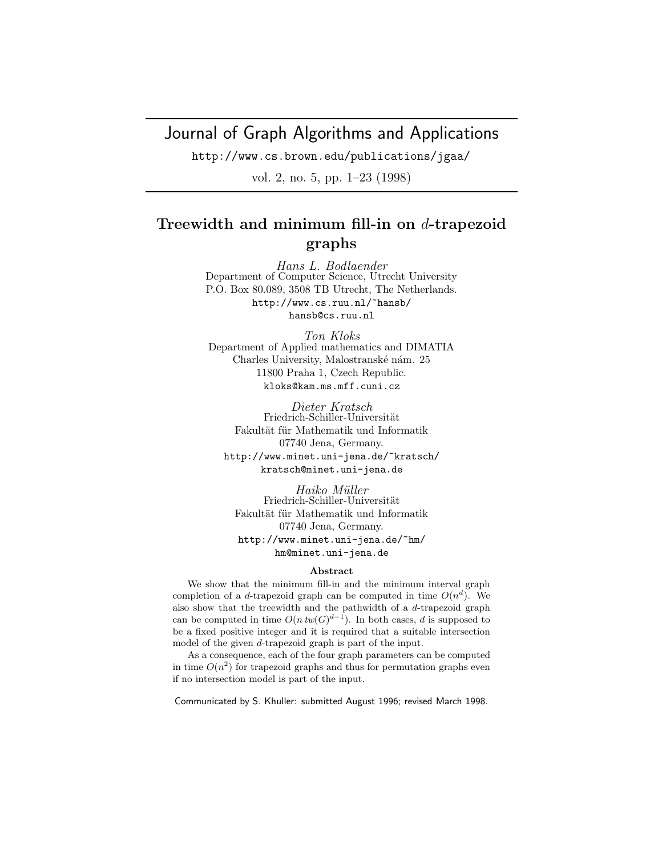# Journal of Graph Algorithms and Applications

http://www.cs.brown.edu/publications/jgaa/

vol. 2, no. 5, pp. 1–23 (1998)

# **Treewidth and minimum fill-in on** d**-trapezoid graphs**

Hans L. Bodlaender Department of Computer Science, Utrecht University P.O. Box 80.089, 3508 TB Utrecht, The Netherlands. http://www.cs.ruu.nl/~hansb/ hansb@cs.ruu.nl

Ton Kloks Department of Applied mathematics and DIMATIA Charles University, Malostranské nám. 25 11800 Praha 1, Czech Republic. kloks@kam.ms.mff.cuni.cz

Dieter Kratsch Friedrich-Schiller-Universität Fakultät für Mathematik und Informatik 07740 Jena, Germany. http://www.minet.uni-jena.de/~kratsch/ kratsch@minet.uni-jena.de

Haiko Müller Friedrich-Schiller-Universität Fakultät für Mathematik und Informatik 07740 Jena, Germany. http://www.minet.uni-jena.de/~hm/ hm@minet.uni-jena.de

#### **Abstract**

We show that the minimum fill-in and the minimum interval graph completion of a d-trapezoid graph can be computed in time  $O(n^d)$ . We also show that the treewidth and the pathwidth of a d-trapezoid graph can be computed in time  $O(n \, tw(G)^{d-1})$ . In both cases, d is supposed to be a fixed positive integer and it is required that a suitable intersection model of the given d-trapezoid graph is part of the input.

As a consequence, each of the four graph parameters can be computed in time  $O(n^2)$  for trapezoid graphs and thus for permutation graphs even if no intersection model is part of the input.

Communicated by S. Khuller: submitted August 1996; revised March 1998.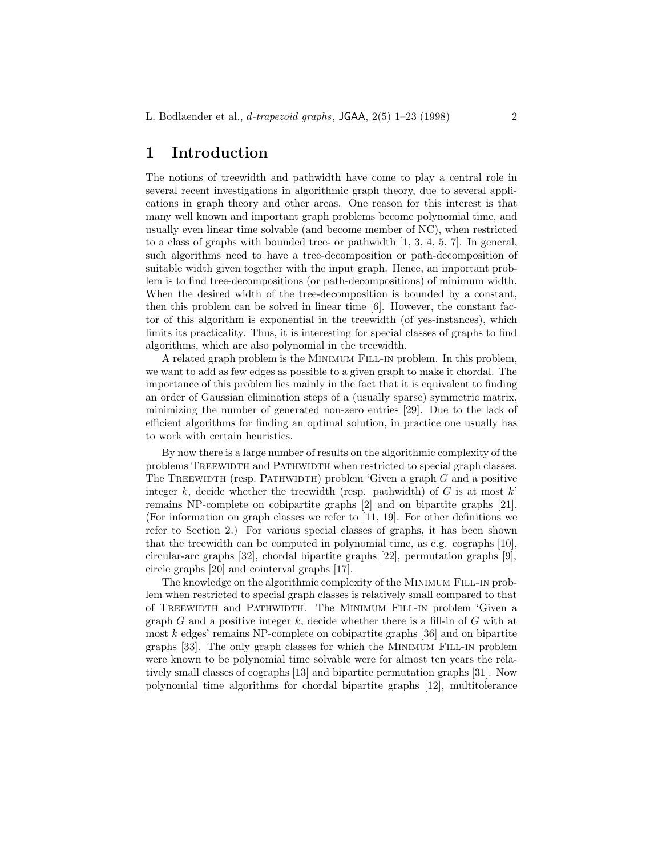## **1 Introduction**

The notions of treewidth and pathwidth have come to play a central role in several recent investigations in algorithmic graph theory, due to several applications in graph theory and other areas. One reason for this interest is that many well known and important graph problems become polynomial time, and usually even linear time solvable (and become member of NC), when restricted to a class of graphs with bounded tree- or pathwidth  $[1, 3, 4, 5, 7]$ . In general, such algorithms need to have a tree-decomposition or path-decomposition of suitable width given together with the input graph. Hence, an important problem is to find tree-decompositions (or path-decompositions) of minimum width. When the desired width of the tree-decomposition is bounded by a constant, then this problem can be solved in linear time [6]. However, the constant factor of this algorithm is exponential in the treewidth (of yes-instances), which limits its practicality. Thus, it is interesting for special classes of graphs to find algorithms, which are also polynomial in the treewidth.

A related graph problem is the Minimum Fill-in problem. In this problem, we want to add as few edges as possible to a given graph to make it chordal. The importance of this problem lies mainly in the fact that it is equivalent to finding an order of Gaussian elimination steps of a (usually sparse) symmetric matrix, minimizing the number of generated non-zero entries [29]. Due to the lack of efficient algorithms for finding an optimal solution, in practice one usually has to work with certain heuristics.

By now there is a large number of results on the algorithmic complexity of the problems TREEWIDTH and PATHWIDTH when restricted to special graph classes. The TREEWIDTH (resp. PATHWIDTH) problem 'Given a graph  $G$  and a positive integer k, decide whether the treewidth (resp. pathwidth) of  $G$  is at most  $k$ ' remains NP-complete on cobipartite graphs [2] and on bipartite graphs [21]. (For information on graph classes we refer to [11, 19]. For other definitions we refer to Section 2.) For various special classes of graphs, it has been shown that the treewidth can be computed in polynomial time, as e.g. cographs [10], circular-arc graphs [32], chordal bipartite graphs [22], permutation graphs [9], circle graphs [20] and cointerval graphs [17].

The knowledge on the algorithmic complexity of the MINIMUM FILL-IN problem when restricted to special graph classes is relatively small compared to that of Treewidth and Pathwidth. The Minimum Fill-in problem 'Given a graph G and a positive integer k, decide whether there is a fill-in of G with at most k edges' remains NP-complete on cobipartite graphs [36] and on bipartite graphs [33]. The only graph classes for which the Minimum Fill-in problem were known to be polynomial time solvable were for almost ten years the relatively small classes of cographs [13] and bipartite permutation graphs [31]. Now polynomial time algorithms for chordal bipartite graphs [12], multitolerance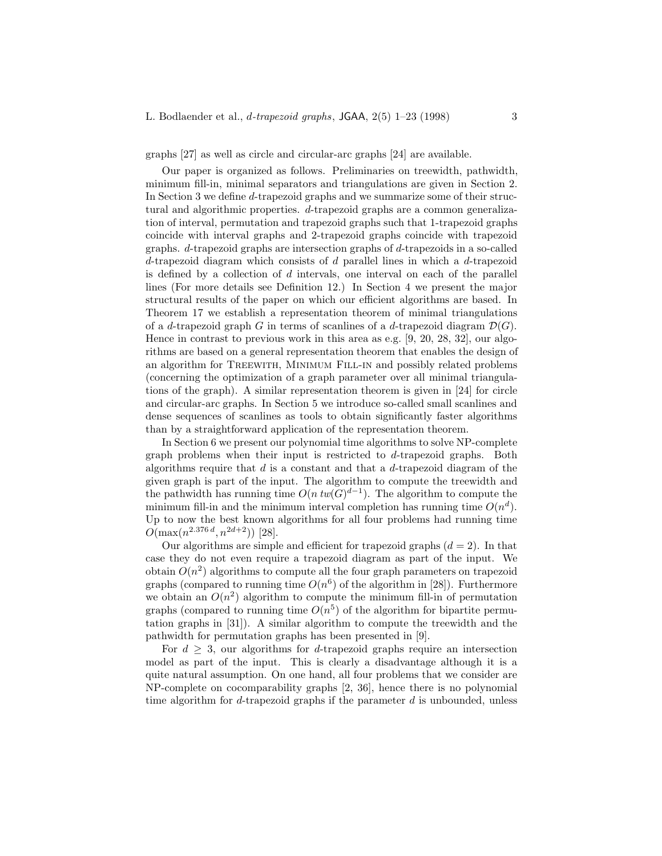graphs [27] as well as circle and circular-arc graphs [24] are available.

Our paper is organized as follows. Preliminaries on treewidth, pathwidth, minimum fill-in, minimal separators and triangulations are given in Section 2. In Section 3 we define d-trapezoid graphs and we summarize some of their structural and algorithmic properties. d-trapezoid graphs are a common generalization of interval, permutation and trapezoid graphs such that 1-trapezoid graphs coincide with interval graphs and 2-trapezoid graphs coincide with trapezoid graphs. d-trapezoid graphs are intersection graphs of d-trapezoids in a so-called d-trapezoid diagram which consists of  $d$  parallel lines in which a  $d$ -trapezoid is defined by a collection of d intervals, one interval on each of the parallel lines (For more details see Definition 12.) In Section 4 we present the major structural results of the paper on which our efficient algorithms are based. In Theorem 17 we establish a representation theorem of minimal triangulations of a d-trapezoid graph G in terms of scanlines of a d-trapezoid diagram  $\mathcal{D}(G)$ . Hence in contrast to previous work in this area as e.g. [9, 20, 28, 32], our algorithms are based on a general representation theorem that enables the design of an algorithm for Treewith, Minimum Fill-in and possibly related problems (concerning the optimization of a graph parameter over all minimal triangulations of the graph). A similar representation theorem is given in [24] for circle and circular-arc graphs. In Section 5 we introduce so-called small scanlines and dense sequences of scanlines as tools to obtain significantly faster algorithms than by a straightforward application of the representation theorem.

In Section 6 we present our polynomial time algorithms to solve NP-complete graph problems when their input is restricted to d-trapezoid graphs. Both algorithms require that  $d$  is a constant and that a  $d$ -trapezoid diagram of the given graph is part of the input. The algorithm to compute the treewidth and the pathwidth has running time  $O(n \, tw(G)^{d-1})$ . The algorithm to compute the minimum fill-in and the minimum interval completion has running time  $O(n^d)$ . Up to now the best known algorithms for all four problems had running time  $O(\max(n^{2.376 d}, n^{2d+2}))$  [28].

Our algorithms are simple and efficient for trapezoid graphs  $(d = 2)$ . In that case they do not even require a trapezoid diagram as part of the input. We obtain  $O(n^2)$  algorithms to compute all the four graph parameters on trapezoid graphs (compared to running time  $O(n^6)$  of the algorithm in [28]). Furthermore we obtain an  $O(n^2)$  algorithm to compute the minimum fill-in of permutation graphs (compared to running time  $O(n^5)$  of the algorithm for bipartite permutation graphs in [31]). A similar algorithm to compute the treewidth and the pathwidth for permutation graphs has been presented in [9].

For  $d > 3$ , our algorithms for d-trapezoid graphs require an intersection model as part of the input. This is clearly a disadvantage although it is a quite natural assumption. On one hand, all four problems that we consider are NP-complete on cocomparability graphs [2, 36], hence there is no polynomial time algorithm for  $d$ -trapezoid graphs if the parameter  $d$  is unbounded, unless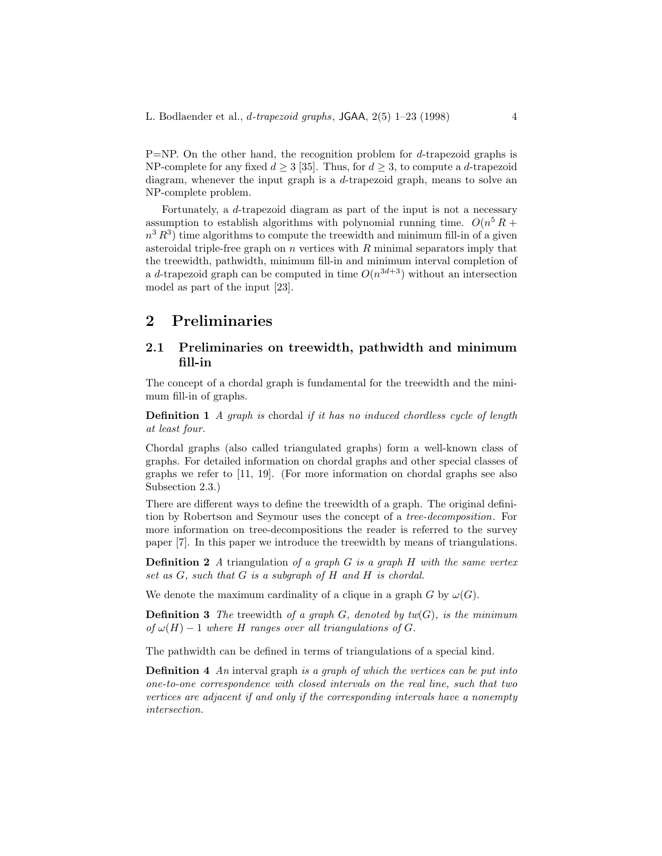$P=NP$ . On the other hand, the recognition problem for d-trapezoid graphs is NP-complete for any fixed  $d \geq 3$  [35]. Thus, for  $d \geq 3$ , to compute a d-trapezoid diagram, whenever the input graph is a d-trapezoid graph, means to solve an NP-complete problem.

Fortunately, a d-trapezoid diagram as part of the input is not a necessary assumption to establish algorithms with polynomial running time.  $O(n^5 R +$  $n^3 R^3$ ) time algorithms to compute the treewidth and minimum fill-in of a given asteroidal triple-free graph on  $n$  vertices with  $R$  minimal separators imply that the treewidth, pathwidth, minimum fill-in and minimum interval completion of a d-trapezoid graph can be computed in time  $O(n^{3d+3})$  without an intersection model as part of the input [23].

### **2 Preliminaries**

### **2.1 Preliminaries on treewidth, pathwidth and minimum fill-in**

The concept of a chordal graph is fundamental for the treewidth and the minimum fill-in of graphs.

**Definition 1** *A graph is* chordal *if it has no induced chordless cycle of length at least four.*

Chordal graphs (also called triangulated graphs) form a well-known class of graphs. For detailed information on chordal graphs and other special classes of graphs we refer to [11, 19]. (For more information on chordal graphs see also Subsection 2.3.)

There are different ways to define the treewidth of a graph. The original definition by Robertson and Seymour uses the concept of a *tree-decomposition*. For more information on tree-decompositions the reader is referred to the survey paper [7]. In this paper we introduce the treewidth by means of triangulations.

**Definition 2** *A* triangulation *of a graph* G *is a graph* H *with the same vertex set as* G*, such that* G *is a subgraph of* H *and* H *is chordal.*

We denote the maximum cardinality of a clique in a graph G by  $\omega(G)$ .

**Definition 3** The treewidth of a graph  $G$ , denoted by  $tw(G)$ , is the minimum *of*  $\omega(H) - 1$  *where H ranges over all triangulations of G.* 

The pathwidth can be defined in terms of triangulations of a special kind.

**Definition 4** *An* interval graph *is a graph of which the vertices can be put into one-to-one correspondence with closed intervals on the real line, such that two vertices are adjacent if and only if the corresponding intervals have a nonempty intersection.*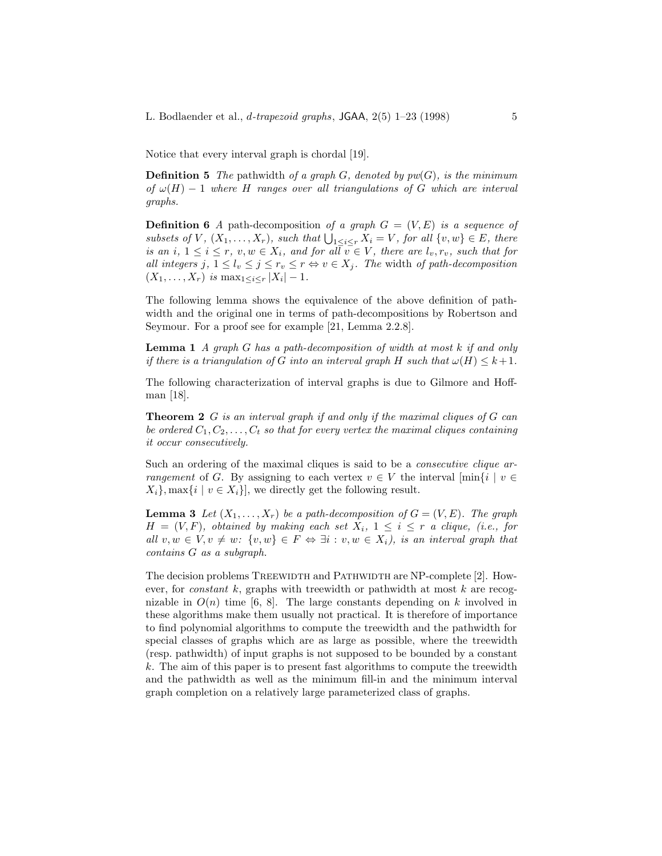Notice that every interval graph is chordal [19].

**Definition 5** *The* pathwidth *of a graph*  $G$ *, denoted by pw*( $G$ *), is the minimum of* ω(H) − 1 *where* H *ranges over all triangulations of* G *which are interval graphs.*

**Definition 6** *A* path-decomposition of a graph  $G = (V, E)$  is a sequence of  $subsets of V, (X_1, \ldots, X_r), such that \bigcup_{1 \leq i \leq r} X_i = V, for all \{v, w\} \in E, there$ *is an*  $i, 1 \leq i \leq r$ ,  $v, w \in X_i$ , and for all  $v \in V$ , there are  $l_v, r_v$ , such that for *all integers*  $j, 1 \leq l_v \leq j \leq r_v \leq r \Leftrightarrow v \in X_j$ *. The width of path-decomposition*  $(X_1, \ldots, X_r)$  *is* max $_{1 \leq i \leq r} |X_i| - 1$ .

The following lemma shows the equivalence of the above definition of pathwidth and the original one in terms of path-decompositions by Robertson and Seymour. For a proof see for example [21, Lemma 2.2.8].

**Lemma 1** *A graph* G *has a path-decomposition of width at most* k *if and only if there is a triangulation of* G *into an interval graph* H *such that*  $\omega(H) \leq k+1$ *.* 

The following characterization of interval graphs is due to Gilmore and Hoffman [18].

**Theorem 2** G *is an interval graph if and only if the maximal cliques of* G *can be ordered*  $C_1, C_2, \ldots, C_t$  *so that for every vertex the maximal cliques containing it occur consecutively.*

Such an ordering of the maximal cliques is said to be a *consecutive clique arrangement* of G. By assigning to each vertex  $v \in V$  the interval  $[\min\{i \mid v \in$  $X_i$ , max $\{i \mid v \in X_i\}$ , we directly get the following result.

**Lemma 3** *Let*  $(X_1, \ldots, X_r)$  *be a path-decomposition of*  $G = (V, E)$ *. The graph*  $H = (V, F)$ *, obtained by making each set*  $X_i$ ,  $1 \leq i \leq r$  *a clique, (i.e., for all*  $v, w \in V, v \neq w$ :  $\{v, w\} \in F \Leftrightarrow \exists i : v, w \in X_i$ , is an interval graph that *contains* G *as a subgraph.*

The decision problems TREEWIDTH and PATHWIDTH are NP-complete [2]. However, for *constant* k, graphs with treewidth or pathwidth at most k are recognizable in  $O(n)$  time [6, 8]. The large constants depending on k involved in these algorithms make them usually not practical. It is therefore of importance to find polynomial algorithms to compute the treewidth and the pathwidth for special classes of graphs which are as large as possible, where the treewidth (resp. pathwidth) of input graphs is not supposed to be bounded by a constant k. The aim of this paper is to present fast algorithms to compute the treewidth and the pathwidth as well as the minimum fill-in and the minimum interval graph completion on a relatively large parameterized class of graphs.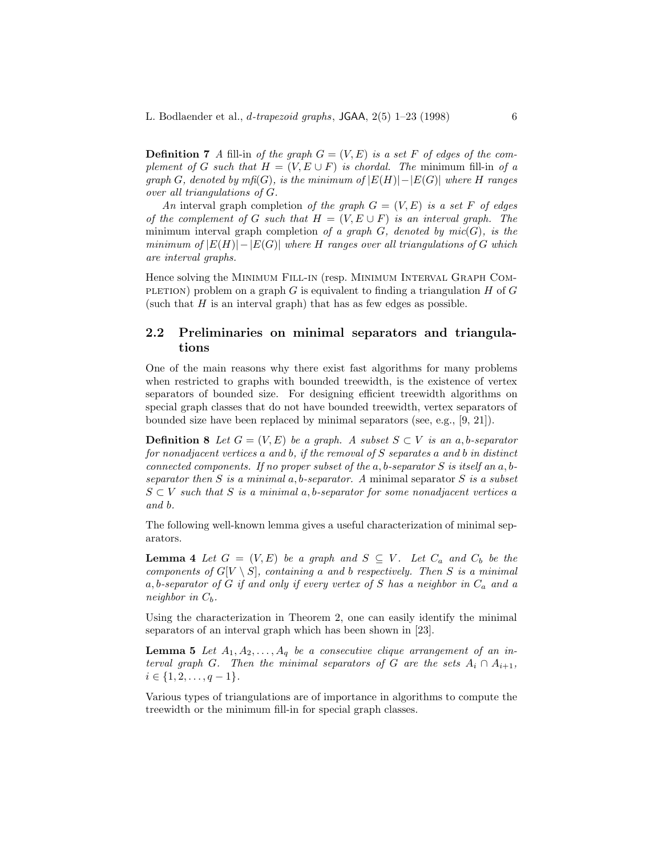**Definition 7** *A* fill-in *of the graph*  $G = (V, E)$  *is a set* F *of edges of the complement of* G *such that*  $H = (V, E \cup F)$  *is chordal. The minimum fill-in of a graph* G, denoted by  $m\text{fi}(G)$ , is the minimum of  $|E(H)|-|E(G)|$  where H ranges *over all triangulations of* G*.*

*An* interval graph completion *of the graph*  $G = (V, E)$  *is a set* F *of edges of the complement of* G *such that*  $H = (V, E \cup F)$  *is an interval graph. The* minimum interval graph completion *of a graph* G*, denoted by mic*(G)*, is the minimum of*  $|E(H)| - |E(G)|$  *where* H *ranges over all triangulations of* G *which are interval graphs.*

Hence solving the Minimum Fill-in (resp. Minimum Interval Graph Com-PLETION) problem on a graph G is equivalent to finding a triangulation  $H$  of G (such that  $H$  is an interval graph) that has as few edges as possible.

### **2.2 Preliminaries on minimal separators and triangulations**

One of the main reasons why there exist fast algorithms for many problems when restricted to graphs with bounded treewidth, is the existence of vertex separators of bounded size. For designing efficient treewidth algorithms on special graph classes that do not have bounded treewidth, vertex separators of bounded size have been replaced by minimal separators (see, e.g., [9, 21]).

**Definition 8** *Let*  $G = (V, E)$  *be a graph.* A *subset*  $S \subset V$  *is an a, b-separator for nonadjacent vertices* a *and* b*, if the removal of* S *separates* a *and* b *in distinct connected components. If no proper subset of the* a, b*-separator* S *is itself an* a, b*separator then* S *is a minimal* a, b*-separator. A* minimal separator S *is a subset* S ⊂ V *such that* S *is a minimal* a, b*-separator for some nonadjacent vertices* a *and* b*.*

The following well-known lemma gives a useful characterization of minimal separators.

**Lemma 4** *Let*  $G = (V, E)$  *be a graph and*  $S \subseteq V$ *. Let*  $C_a$  *and*  $C_b$  *be the components of*  $G[V \setminus S]$ *, containing* a and b *respectively. Then* S *is* a minimal a, b*-separator of* G *if and only if every vertex of* S *has a neighbor in* C<sup>a</sup> *and a neighbor in*  $C_b$ .

Using the characterization in Theorem 2, one can easily identify the minimal separators of an interval graph which has been shown in [23].

**Lemma 5** Let  $A_1, A_2, \ldots, A_q$  be a consecutive clique arrangement of an in*terval graph* G. Then the minimal separators of G are the sets  $A_i \cap A_{i+1}$ ,  $i \in \{1, 2, \ldots, q-1\}.$ 

Various types of triangulations are of importance in algorithms to compute the treewidth or the minimum fill-in for special graph classes.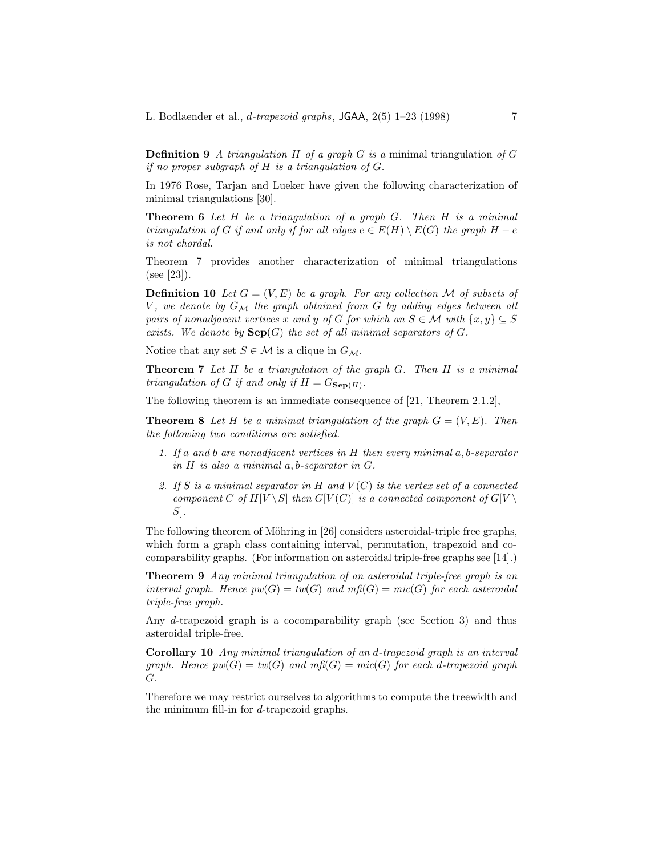**Definition 9** *A triangulation* H *of a graph* G *is a* minimal triangulation *of* G *if no proper subgraph of* H *is a triangulation of* G*.*

In 1976 Rose, Tarjan and Lueker have given the following characterization of minimal triangulations [30].

**Theorem 6** *Let* H *be a triangulation of a graph* G*. Then* H *is a minimal triangulation of* G *if and only if for all edges*  $e \in E(H) \setminus E(G)$  *the graph*  $H - e$ *is not chordal.*

Theorem 7 provides another characterization of minimal triangulations (see [23]).

**Definition 10** Let  $G = (V, E)$  be a graph. For any collection M of subsets of V, we denote by  $G_{\mathcal{M}}$  the graph obtained from G by adding edges between all *pairs of nonadjacent vertices* x and y of G for which an  $S \in \mathcal{M}$  with  $\{x, y\} \subseteq S$ *exists.* We denote by  $\mathbf{Sep}(G)$  the set of all minimal separators of G.

Notice that any set  $S \in \mathcal{M}$  is a clique in  $G_{\mathcal{M}}$ .

**Theorem 7** *Let* H *be a triangulation of the graph* G*. Then* H *is a minimal triangulation of* G *if and only if*  $H = G_{\textbf{Sen}(H)}$ .

The following theorem is an immediate consequence of [21, Theorem 2.1.2],

**Theorem 8** Let H be a minimal triangulation of the graph  $G = (V, E)$ . Then *the following two conditions are satisfied.*

- *1. If* a *and* b *are nonadjacent vertices in* H *then every minimal* a, b*-separator in* H *is also a minimal* a, b*-separator in* G*.*
- *2. If* S *is a minimal separator in* H *and* V (C) *is the vertex set of a connected component* C of  $H[V \setminus S]$  *then*  $G[V(C)]$  *is a connected component of*  $G[V \setminus S]$ S]*.*

The following theorem of Möhring in  $[26]$  considers asteroidal-triple free graphs, which form a graph class containing interval, permutation, trapezoid and cocomparability graphs. (For information on asteroidal triple-free graphs see [14].)

**Theorem 9** *Any minimal triangulation of an asteroidal triple-free graph is an interval graph. Hence*  $pw(G) = tw(G)$  and  $mf(G) = mic(G)$  for each asteroidal *triple-free graph.*

Any d-trapezoid graph is a cocomparability graph (see Section 3) and thus asteroidal triple-free.

**Corollary 10** *Any minimal triangulation of an* d*-trapezoid graph is an interval graph.* Hence  $pw(G) = tw(G)$  and  $mf(G) = mic(G)$  for each d-trapezoid graph G*.*

Therefore we may restrict ourselves to algorithms to compute the treewidth and the minimum fill-in for d-trapezoid graphs.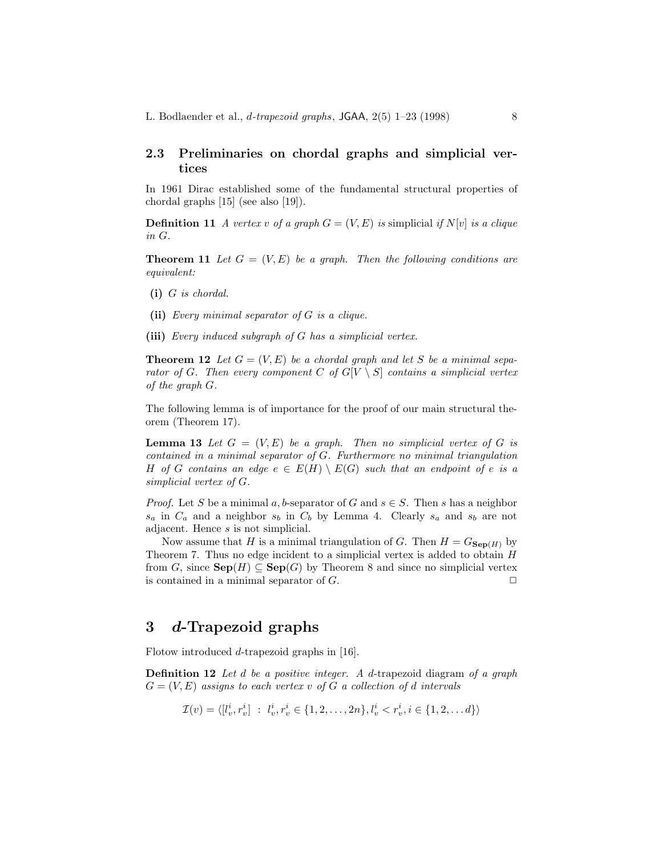### **2.3 Preliminaries on chordal graphs and simplicial vertices**

In 1961 Dirac established some of the fundamental structural properties of chordal graphs [15] (see also [19]).

**Definition 11** *A vertex* v of a graph  $G = (V, E)$  is simplicial if  $N[v]$  is a clique *in* G*.*

**Theorem 11** Let  $G = (V, E)$  be a graph. Then the following conditions are *equivalent:*

- **(i)** G *is chordal.*
- **(ii)** *Every minimal separator of* G *is a clique.*
- **(iii)** *Every induced subgraph of* G *has a simplicial vertex.*

**Theorem 12** Let  $G = (V, E)$  be a chordal graph and let S be a minimal sepa*rator of* G. Then every component C of  $G[V \setminus S]$  contains a simplicial vertex *of the graph* G*.*

The following lemma is of importance for the proof of our main structural theorem (Theorem 17).

**Lemma 13** Let  $G = (V, E)$  be a graph. Then no simplicial vertex of G is *contained in a minimal separator of* G*. Furthermore no minimal triangulation* H *of* G *contains an edge*  $e \in E(H) \setminus E(G)$  *such that an endpoint of* e *is a simplicial vertex of* G*.*

*Proof.* Let S be a minimal a, b-separator of G and  $s \in S$ . Then s has a neighbor  $s_a$  in  $C_a$  and a neighbor  $s_b$  in  $C_b$  by Lemma 4. Clearly  $s_a$  and  $s_b$  are not adjacent. Hence s is not simplicial.

Now assume that H is a minimal triangulation of G. Then  $H = G_{\textbf{Sep}(H)}$  by Theorem 7. Thus no edge incident to a simplicial vertex is added to obtain  $H$ from G, since  $\mathbf{Sep}(H) \subseteq \mathbf{Sep}(G)$  by Theorem 8 and since no simplicial vertex is contained in a minimal separator of  $G$ .

### **3** *d***-Trapezoid graphs**

Flotow introduced d-trapezoid graphs in [16].

**Definition 12** *Let* d *be a positive integer. A* d-trapezoid diagram *of a graph*  $G = (V, E)$  *assigns to each vertex v of* G *a collection of d intervals* 

$$
\mathcal{I}(v) = \langle [l_v^i, r_v^i] \; : \; l_v^i, r_v^i \in \{1, 2, \dots, 2n\}, l_v^i < r_v^i, i \in \{1, 2, \dots d\} \rangle
$$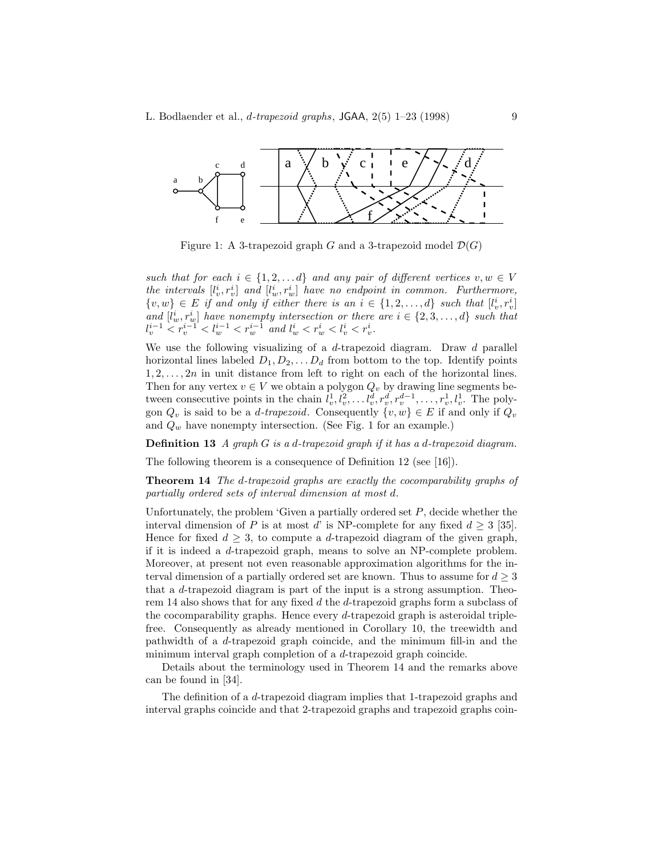

Figure 1: A 3-trapezoid graph G and a 3-trapezoid model  $\mathcal{D}(G)$ 

*such that for each*  $i \in \{1, 2, \ldots d\}$  *and any pair of different vertices*  $v, w \in V$ the intervals  $[l_v^i, r_v^i]$  and  $[l_w^i, r_w^i]$  have no endpoint in common. Furthermore,  $\{v, w\} \in E$  if and only if either there is an  $i \in \{1, 2, ..., d\}$  such that  $[l_v^i, r_v^i]$ and  $[i_w^i, r_w^i]$  have nonempty intersection or there are  $i \in \{2, 3, ..., d\}$  such that  $l_v^{i-1} < r_v^{i-1} < l_w^{i-1} < r_w^{i-1}$  and  $l_w^i < r_w^i < l_v^i < r_v^i$ .

We use the following visualizing of a  $d$ -trapezoid diagram. Draw  $d$  parallel horizontal lines labeled  $D_1, D_2, \ldots, D_d$  from bottom to the top. Identify points  $1, 2, \ldots, 2n$  in unit distance from left to right on each of the horizontal lines. Then for any vertex  $v \in V$  we obtain a polygon  $Q_v$  by drawing line segments between consecutive points in the chain  $\hat{l}_v^1, \hat{l}_v^2, \dots \hat{l}_v^d, r_v^d, r_v^{d-1}, \dots, r_v^1, l_v^1$ . The polygon  $Q_v$  is said to be a *d-trapezoid*. Consequently  $\{v, w\} \in E$  if and only if  $Q_v$ and  $Q_w$  have nonempty intersection. (See Fig. 1 for an example.)

**Definition 13** *A graph* G *is a* d*-trapezoid graph if it has a* d*-trapezoid diagram.*

The following theorem is a consequence of Definition 12 (see [16]).

**Theorem 14** *The* d*-trapezoid graphs are exactly the cocomparability graphs of partially ordered sets of interval dimension at most* d*.*

Unfortunately, the problem 'Given a partially ordered set  $P$ , decide whether the interval dimension of P is at most d' is NP-complete for any fixed  $d \geq 3$  [35]. Hence for fixed  $d \geq 3$ , to compute a d-trapezoid diagram of the given graph, if it is indeed a d-trapezoid graph, means to solve an NP-complete problem. Moreover, at present not even reasonable approximation algorithms for the interval dimension of a partially ordered set are known. Thus to assume for  $d \geq 3$ that a d-trapezoid diagram is part of the input is a strong assumption. Theorem 14 also shows that for any fixed d the d-trapezoid graphs form a subclass of the cocomparability graphs. Hence every d-trapezoid graph is asteroidal triplefree. Consequently as already mentioned in Corollary 10, the treewidth and pathwidth of a d-trapezoid graph coincide, and the minimum fill-in and the minimum interval graph completion of a d-trapezoid graph coincide.

Details about the terminology used in Theorem 14 and the remarks above can be found in [34].

The definition of a d-trapezoid diagram implies that 1-trapezoid graphs and interval graphs coincide and that 2-trapezoid graphs and trapezoid graphs coin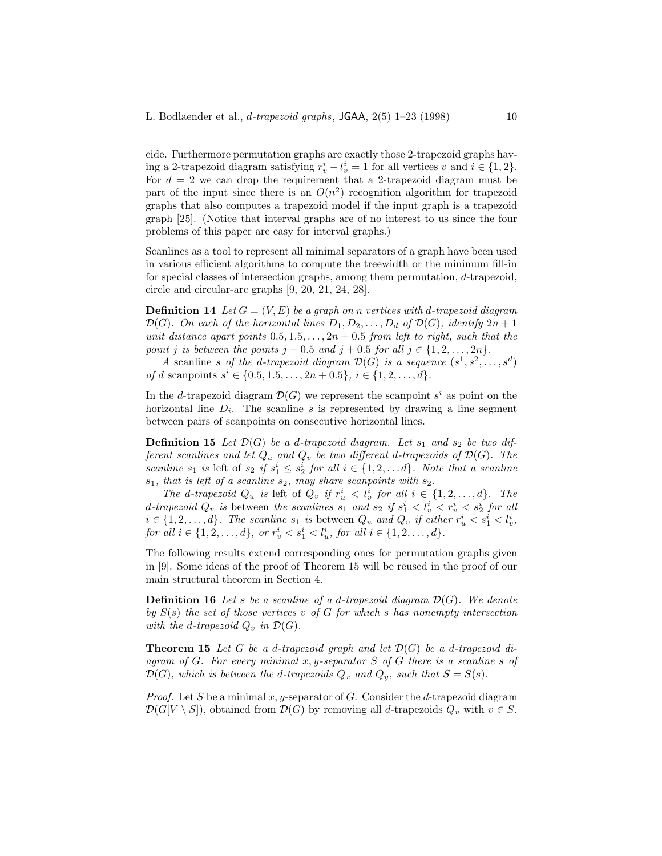cide. Furthermore permutation graphs are exactly those 2-trapezoid graphs having a 2-trapezoid diagram satisfying  $r_v^i - l_v^i = 1$  for all vertices v and  $i \in \{1, 2\}$ . For  $d = 2$  we can drop the requirement that a 2-trapezoid diagram must be part of the input since there is an  $O(n^2)$  recognition algorithm for trapezoid graphs that also computes a trapezoid model if the input graph is a trapezoid graph [25]. (Notice that interval graphs are of no interest to us since the four problems of this paper are easy for interval graphs.)

Scanlines as a tool to represent all minimal separators of a graph have been used in various efficient algorithms to compute the treewidth or the minimum fill-in for special classes of intersection graphs, among them permutation, d-trapezoid, circle and circular-arc graphs [9, 20, 21, 24, 28].

**Definition 14** Let  $G = (V, E)$  be a graph on n vertices with d-trapezoid diagram  $\mathcal{D}(G)$ *. On each of the horizontal lines*  $D_1, D_2, \ldots, D_d$  *of*  $\mathcal{D}(G)$ *, identify*  $2n + 1$ *unit distance apart points*  $0.5, 1.5, \ldots, 2n + 0.5$  *from left to right, such that the point j is between the points*  $j - 0.5$  *and*  $j + 0.5$  *for all*  $j \in \{1, 2, ..., 2n\}$ *.* 

*A* scanline *s* of the *d*-trapezoid diagram  $\mathcal{D}(G)$  is a sequence  $(s^1, s^2, \ldots, s^d)$ *of* d scanpoints  $s^i \in \{0.5, 1.5, \ldots, 2n + 0.5\}, i \in \{1, 2, \ldots, d\}.$ 

In the d-trapezoid diagram  $\mathcal{D}(G)$  we represent the scanpoint  $s^i$  as point on the horizontal line  $D_i$ . The scanline s is represented by drawing a line segment between pairs of scanpoints on consecutive horizontal lines.

**Definition 15** Let  $\mathcal{D}(G)$  be a d-trapezoid diagram. Let  $s_1$  and  $s_2$  be two dif*ferent scanlines and let*  $Q_u$  *and*  $Q_v$  *be two different d-trapezoids of*  $\mathcal{D}(G)$ *. The scanline*  $s_1$  *is* left of  $s_2$  *if*  $s_1^i \leq s_2^i$  *for all*  $i \in \{1, 2, \ldots d\}$ *. Note that a scanline*  $s_1$ *, that is left of a scanline*  $s_2$ *, may share scanpoints with*  $s_2$ *.* 

*The* d-trapezoid  $Q_u$  is left of  $\tilde{Q}_v$  if  $r_u^i < \tilde{l}_v^i$  for all  $i \in \{1, 2, ..., d\}$ . The d-trapezoid  $Q_v$  is between the scanlines  $s_1$  and  $s_2$  if  $s_1^i < l_v^i < r_v^i < s_2^i$  for all  $i \in \{1, 2, \ldots, d\}$ . The scanline  $s_1$  is between  $Q_u$  and  $Q_v$  if either  $r_u^i \leq s_1^i \leq l_v^i$ , *for all*  $i \in \{1, 2, ..., d\}$ *, or*  $r_v^i < s_1^i < l_u^i$ *, for all*  $i \in \{1, 2, ..., d\}$ *.* 

The following results extend corresponding ones for permutation graphs given in [9]. Some ideas of the proof of Theorem 15 will be reused in the proof of our main structural theorem in Section 4.

**Definition 16** Let s be a scanline of a d-trapezoid diagram  $\mathcal{D}(G)$ . We denote *by* S(s) *the set of those vertices* v *of* G *for which* s *has nonempty intersection with the d-trapezoid*  $Q_v$  *in*  $\mathcal{D}(G)$ *.* 

**Theorem 15** Let G be a d-trapezoid graph and let  $\mathcal{D}(G)$  be a d-trapezoid di*agram of* G*. For every minimal* x, y*-separator* S *of* G *there is a scanline* s *of*  $\mathcal{D}(G)$ *, which is between the d-trapezoids*  $Q_x$  *and*  $Q_y$ *, such that*  $S = S(s)$ *.* 

*Proof.* Let S be a minimal  $x, y$ -separator of G. Consider the d-trapezoid diagram  $\mathcal{D}(G[V \setminus S])$ , obtained from  $\mathcal{D}(G)$  by removing all d-trapezoids  $Q_v$  with  $v \in S$ .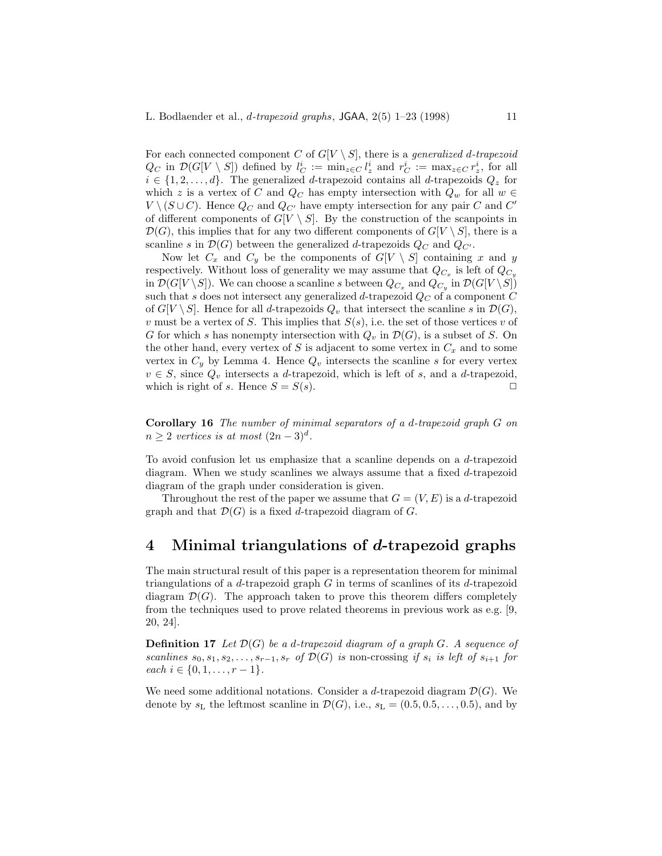For each connected component C of  $G[V \setminus S]$ , there is a *generalized d-trapezoid*  $Q_C$  in  $\mathcal{D}(G[V \setminus S])$  defined by  $l_C^i := \min_{z \in C} l_z^i$  and  $r_C^i := \max_{z \in C} r_z^i$ , for all  $i \in \{1, 2, \ldots, d\}$ . The generalized d-trapezoid contains all d-trapezoids  $Q_z$  for which z is a vertex of C and  $Q_C$  has empty intersection with  $Q_w$  for all  $w \in$  $V \setminus (S \cup C)$ . Hence  $Q_C$  and  $Q_{C'}$  have empty intersection for any pair C and C' of different components of  $G[V \setminus S]$ . By the construction of the scanpoints in  $\mathcal{D}(G)$ , this implies that for any two different components of  $G[V \setminus S]$ , there is a scanline s in  $\mathcal{D}(G)$  between the generalized d-trapezoids  $Q_C$  and  $Q_{C'}$ .

Now let  $C_x$  and  $C_y$  be the components of  $G[V \setminus S]$  containing x and y respectively. Without loss of generality we may assume that  $Q_{C_x}$  is left of  $Q_{C_y}$ in  $\mathcal{D}(G[V \setminus S])$ . We can choose a scanline s between  $Q_{C_x}$  and  $Q_{C_y}$  in  $\mathcal{D}(G[V \setminus S])$ such that s does not intersect any generalized d-trapezoid  $Q_C$  of a component C of  $G[V \setminus S]$ . Hence for all d-trapezoids  $Q_v$  that intersect the scanline s in  $\mathcal{D}(G)$ , v must be a vertex of S. This implies that  $S(s)$ , i.e. the set of those vertices v of G for which s has nonempty intersection with  $Q_v$  in  $\mathcal{D}(G)$ , is a subset of S. On the other hand, every vertex of S is adjacent to some vertex in  $C_x$  and to some vertex in  $C_y$  by Lemma 4. Hence  $Q_v$  intersects the scanline s for every vertex  $v \in S$ , since  $Q_v$  intersects a d-trapezoid, which is left of s, and a d-trapezoid, which is right of s. Hence  $S = S(s)$ .

**Corollary 16** *The number of minimal separators of a* d*-trapezoid graph* G *on*  $n \geq 2$  *vertices is at most*  $(2n-3)^d$ .

To avoid confusion let us emphasize that a scanline depends on a d-trapezoid diagram. When we study scanlines we always assume that a fixed d-trapezoid diagram of the graph under consideration is given.

Throughout the rest of the paper we assume that  $G = (V, E)$  is a d-trapezoid graph and that  $\mathcal{D}(G)$  is a fixed d-trapezoid diagram of G.

## **4 Minimal triangulations of** *d***-trapezoid graphs**

The main structural result of this paper is a representation theorem for minimal triangulations of a  $d$ -trapezoid graph  $G$  in terms of scanlines of its  $d$ -trapezoid diagram  $\mathcal{D}(G)$ . The approach taken to prove this theorem differs completely from the techniques used to prove related theorems in previous work as e.g. [9, 20, 24].

**Definition 17** *Let* D(G) *be a* d*-trapezoid diagram of a graph* G*. A sequence of scanlines*  $s_0, s_1, s_2, \ldots, s_{r-1}, s_r$  *of*  $\mathcal{D}(G)$  *is* non-crossing *if*  $s_i$  *is left of*  $s_{i+1}$  *for each*  $i \in \{0, 1, \ldots, r-1\}.$ 

We need some additional notations. Consider a d-trapezoid diagram  $\mathcal{D}(G)$ . We denote by  $s_L$  the leftmost scanline in  $\mathcal{D}(G)$ , i.e.,  $s_L = (0.5, 0.5, \ldots, 0.5)$ , and by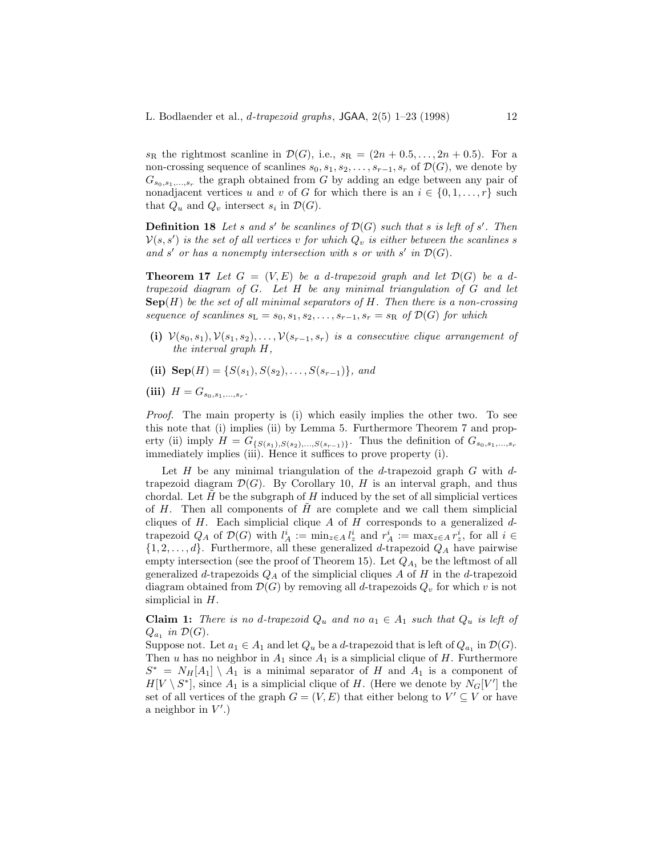$s_{\text{R}}$  the rightmost scanline in  $\mathcal{D}(G)$ , i.e.,  $s_{\text{R}} = (2n + 0.5, \ldots, 2n + 0.5)$ . For a non-crossing sequence of scanlines  $s_0, s_1, s_2, \ldots, s_{r-1}, s_r$  of  $\mathcal{D}(G)$ , we denote by  $G_{s_0,s_1,...,s_r}$  the graph obtained from G by adding an edge between any pair of nonadjacent vertices u and v of G for which there is an  $i \in \{0, 1, \ldots, r\}$  such that  $Q_u$  and  $Q_v$  intersect  $s_i$  in  $\mathcal{D}(G)$ .

**Definition 18** Let s and s' be scanlines of  $\mathcal{D}(G)$  such that s is left of s'. Then  $\mathcal{V}(s, s')$  is the set of all vertices v for which  $Q_v$  is either between the scanlines s and s' or has a nonempty intersection with s or with s' in  $\mathcal{D}(G)$ .

**Theorem 17** Let  $G = (V, E)$  be a d-trapezoid graph and let  $\mathcal{D}(G)$  be a d*trapezoid diagram of* G*. Let* H *be any minimal triangulation of* G *and let* **Sep**(H) *be the set of all minimal separators of* H*. Then there is a non-crossing sequence of scanlines*  $s_L = s_0, s_1, s_2, \ldots, s_{r-1}, s_r = s_R$  *of*  $\mathcal{D}(G)$  *for which* 

- (i)  $V(s_0, s_1), V(s_1, s_2), \ldots, V(s_{r-1}, s_r)$  *is a consecutive clique arrangement of the interval graph* H*,*
- (ii)  $\text{Sep}(H) = \{S(s_1), S(s_2), \ldots, S(s_{r-1})\}$ *, and*
- (iii)  $H = G_{s_0, s_1, ..., s_r}$ .

*Proof.* The main property is (i) which easily implies the other two. To see this note that (i) implies (ii) by Lemma 5. Furthermore Theorem 7 and property (ii) imply  $H = G_{\{S(s_1),S(s_2),...,S(s_{r-1})\}}$ . Thus the definition of  $G_{s_0,s_1,...,s_r}$ immediately implies (iii). Hence it suffices to prove property (i).

Let  $H$  be any minimal triangulation of the d-trapezoid graph  $G$  with dtrapezoid diagram  $\mathcal{D}(G)$ . By Corollary 10, H is an interval graph, and thus chordal. Let  $H$  be the subgraph of  $H$  induced by the set of all simplicial vertices of  $H$ . Then all components of  $H$  are complete and we call them simplicial cliques of  $H$ . Each simplicial clique  $A$  of  $H$  corresponds to a generalized  $d$ trapezoid  $Q_A$  of  $\mathcal{D}(G)$  with  $l_A^i := \min_{z \in A} l_z^i$  and  $r_A^i := \max_{z \in A} r_z^i$ , for all  $i \in$  $\{1, 2, \ldots, d\}$ . Furthermore, all these generalized d-trapezoid  $Q_A$  have pairwise empty intersection (see the proof of Theorem 15). Let  $Q_{A_1}$  be the leftmost of all generalized d-trapezoids  $Q_A$  of the simplicial cliques A of H in the d-trapezoid diagram obtained from  $\mathcal{D}(G)$  by removing all d-trapezoids  $Q_v$  for which v is not simplicial in  $H$ .

**Claim 1:** *There is no d-trapezoid*  $Q_u$  *and no*  $a_1 \in A_1$  *such that*  $Q_u$  *is left of*  $Q_{a_1}$  *in*  $\mathcal{D}(G)$ *.* 

Suppose not. Let  $a_1 \in A_1$  and let  $Q_u$  be a d-trapezoid that is left of  $Q_{a_1}$  in  $\mathcal{D}(G)$ . Then u has no neighbor in  $A_1$  since  $A_1$  is a simplicial clique of H. Furthermore  $S^* = N_H[A_1] \setminus A_1$  is a minimal separator of H and  $A_1$  is a component of  $H[V \setminus S^*],$  since  $A_1$  is a simplicial clique of H. (Here we denote by  $N_G[V']$  the set of all vertices of the graph  $G = (V, E)$  that either belong to  $V' \subseteq V$  or have a neighbor in  $V'.$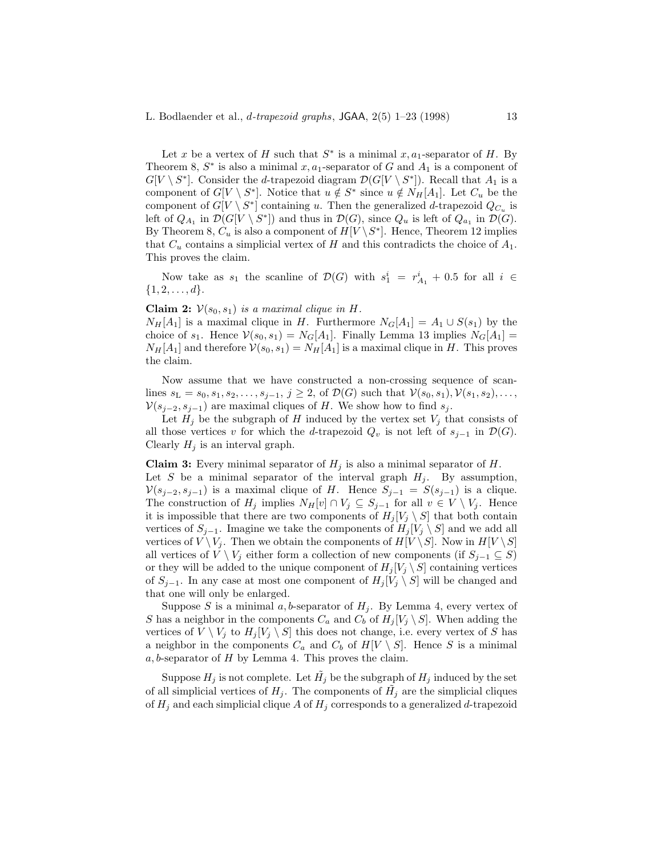Let x be a vertex of H such that  $S^*$  is a minimal  $x, a_1$ -separator of H. By Theorem 8,  $S^*$  is also a minimal x, a<sub>1</sub>-separator of G and  $A_1$  is a component of  $G[V \setminus S^*]$ . Consider the *d*-trapezoid diagram  $\mathcal{D}(G[V \setminus S^*])$ . Recall that  $A_1$  is a component of  $G[V \setminus S^*]$ . Notice that  $u \notin S^*$  since  $u \notin N_H[A_1]$ . Let  $C_u$  be the component of  $G[V \setminus S^*]$  containing u. Then the generalized d-trapezoid  $Q_{C_u}$  is left of  $Q_{A_1}$  in  $\mathcal{D}(G[V \setminus S^*])$  and thus in  $\mathcal{D}(G)$ , since  $Q_u$  is left of  $Q_{a_1}$  in  $\mathcal{D}(G)$ . By Theorem 8,  $C_u$  is also a component of  $H[V \backslash S^*]$ . Hence, Theorem 12 implies that  $C_u$  contains a simplicial vertex of H and this contradicts the choice of  $A_1$ . This proves the claim.

Now take as  $s_1$  the scanline of  $\mathcal{D}(G)$  with  $s_1^i = r_{A_1}^i + 0.5$  for all  $i \in$  $\{1, 2, \ldots, d\}.$ 

#### **Claim 2:**  $V(s_0, s_1)$  *is a maximal clique in H.*

 $N_H[A_1]$  is a maximal clique in H. Furthermore  $N_G[A_1] = A_1 \cup S(s_1)$  by the choice of  $s_1$ . Hence  $\mathcal{V}(s_0, s_1) = N_G[A_1]$ . Finally Lemma 13 implies  $N_G[A_1] =$  $N_H[A_1]$  and therefore  $\mathcal{V}(s_0, s_1) = N_H[A_1]$  is a maximal clique in H. This proves the claim.

Now assume that we have constructed a non-crossing sequence of scanlines  $s_L = s_0, s_1, s_2, \ldots, s_{j-1}, j \geq 2$ , of  $\mathcal{D}(G)$  such that  $\mathcal{V}(s_0, s_1), \mathcal{V}(s_1, s_2), \ldots$  $\mathcal{V}(s_{j-2}, s_{j-1})$  are maximal cliques of H. We show how to find  $s_j$ .

Let  $H_j$  be the subgraph of H induced by the vertex set  $V_j$  that consists of all those vertices v for which the d-trapezoid  $Q_v$  is not left of  $s_{j-1}$  in  $\mathcal{D}(G)$ . Clearly  $H_j$  is an interval graph.

**Claim 3:** Every minimal separator of  $H_j$  is also a minimal separator of  $H$ .

Let S be a minimal separator of the interval graph  $H_i$ . By assumption,  $\mathcal{V}(s_{j-2}, s_{j-1})$  is a maximal clique of H. Hence  $S_{j-1} = S(s_{j-1})$  is a clique. The construction of  $H_j$  implies  $N_H[v] \cap V_j \subseteq S_{j-1}$  for all  $v \in V \setminus V_j$ . Hence it is impossible that there are two components of  $H_j[V_j \setminus S]$  that both contain vertices of  $S_{j-1}$ . Imagine we take the components of  $H_j[V_j \setminus S]$  and we add all vertices of  $V \setminus V_j$ . Then we obtain the components of  $H[V \setminus S]$ . Now in  $H[V \setminus S]$ all vertices of  $V \setminus V_i$  either form a collection of new components (if  $S_{i-1} \subseteq S$ ) or they will be added to the unique component of  $H_i[V_i \setminus S]$  containing vertices of  $S_{i-1}$ . In any case at most one component of  $H_i[V_i \setminus S]$  will be changed and that one will only be enlarged.

Suppose S is a minimal a, b-separator of  $H_j$ . By Lemma 4, every vertex of S has a neighbor in the components  $C_a$  and  $C_b$  of  $H_i[V_i \setminus S]$ . When adding the vertices of  $V \setminus V_j$  to  $H_j[V_j \setminus S]$  this does not change, i.e. every vertex of S has a neighbor in the components  $C_a$  and  $C_b$  of  $H[V \setminus S]$ . Hence S is a minimal  $a, b$ -separator of  $H$  by Lemma 4. This proves the claim.

Suppose  $H_j$  is not complete. Let  $H_j$  be the subgraph of  $H_j$  induced by the set of all simplicial vertices of  $H_i$ . The components of  $H_i$  are the simplicial cliques of  $H_j$  and each simplicial clique A of  $H_j$  corresponds to a generalized d-trapezoid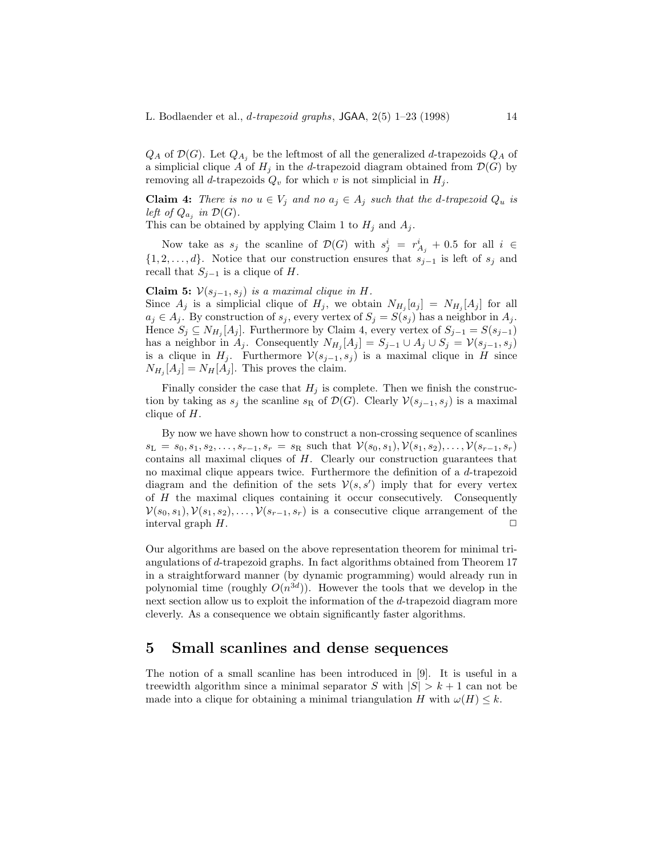$Q_A$  of  $\mathcal{D}(G)$ . Let  $Q_{A_i}$  be the leftmost of all the generalized d-trapezoids  $Q_A$  of a simplicial clique A of  $H_i$  in the d-trapezoid diagram obtained from  $\mathcal{D}(G)$  by removing all d-trapezoids  $Q_v$  for which v is not simplicial in  $H_i$ .

**Claim 4:** *There is no*  $u \in V_j$  *and no*  $a_j \in A_j$  *such that the d-trapezoid*  $Q_u$  *is left of*  $Q_{a_i}$  *in*  $\mathcal{D}(G)$ *.* 

This can be obtained by applying Claim 1 to  $H_j$  and  $A_j$ .

Now take as  $s_j$  the scanline of  $\mathcal{D}(G)$  with  $s_j^i = r_{A_j}^i + 0.5$  for all  $i \in$  $\{1, 2, \ldots, d\}$ . Notice that our construction ensures that  $s_{j-1}$  is left of  $s_j$  and recall that  $S_{i-1}$  is a clique of H.

Claim 5:  $V(s_{j-1}, s_j)$  *is a maximal clique in H.* 

Since  $A_j$  is a simplicial clique of  $H_j$ , we obtain  $N_{H_j}[a_j] = N_{H_j}[A_j]$  for all  $a_j \in A_j$ . By construction of  $s_j$ , every vertex of  $S_j = S(s_j)$  has a neighbor in  $A_j$ . Hence  $S_j \subseteq N_{H_j}[A_j]$ . Furthermore by Claim 4, every vertex of  $S_{j-1} = S(s_{j-1})$ has a neighbor in  $A_j$ . Consequently  $N_{H_j}[A_j] = S_{j-1} \cup A_j \cup S_j = \mathcal{V}(s_{j-1}, s_j)$ is a clique in  $H_j$ . Furthermore  $\mathcal{V}(s_{j-1}, s_j)$  is a maximal clique in H since  $N_{H_i} [A_j] = N_H [A_j]$ . This proves the claim.

Finally consider the case that  $H_j$  is complete. Then we finish the construction by taking as  $s_j$  the scanline  $s_R$  of  $\mathcal{D}(G)$ . Clearly  $\mathcal{V}(s_{j-1}, s_j)$  is a maximal clique of  $H$ .

By now we have shown how to construct a non-crossing sequence of scanlines  $s_L = s_0, s_1, s_2, \ldots, s_{r-1}, s_r = s_R$  such that  $\mathcal{V}(s_0, s_1), \mathcal{V}(s_1, s_2), \ldots, \mathcal{V}(s_{r-1}, s_r)$ contains all maximal cliques of  $H$ . Clearly our construction guarantees that no maximal clique appears twice. Furthermore the definition of a d-trapezoid diagram and the definition of the sets  $\mathcal{V}(s, s')$  imply that for every vertex of H the maximal cliques containing it occur consecutively. Consequently  $V(s_0, s_1), V(s_1, s_2), \ldots, V(s_{r-1}, s_r)$  is a consecutive clique arrangement of the interval graph  $H$ .  $\Box$ 

Our algorithms are based on the above representation theorem for minimal triangulations of d-trapezoid graphs. In fact algorithms obtained from Theorem 17 in a straightforward manner (by dynamic programming) would already run in polynomial time (roughly  $O(n^{3d})$ ). However the tools that we develop in the next section allow us to exploit the information of the d-trapezoid diagram more cleverly. As a consequence we obtain significantly faster algorithms.

### **5 Small scanlines and dense sequences**

The notion of a small scanline has been introduced in [9]. It is useful in a treewidth algorithm since a minimal separator S with  $|S| > k + 1$  can not be made into a clique for obtaining a minimal triangulation H with  $\omega(H) \leq k$ .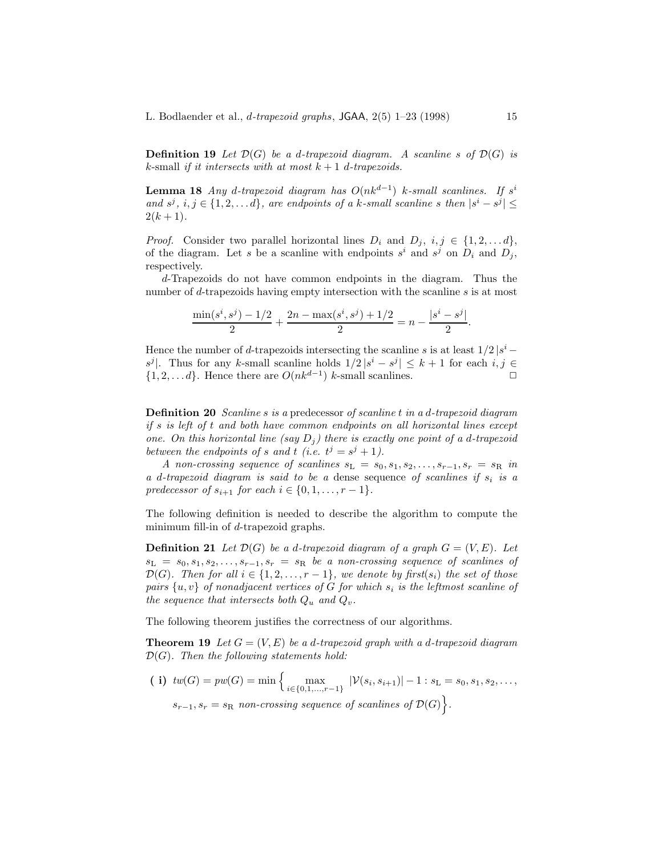**Definition 19** Let  $\mathcal{D}(G)$  be a d-trapezoid diagram. A scanline s of  $\mathcal{D}(G)$  is  $k$ -small *if it intersects with at most*  $k + 1$  *d*-*trapezoids*.

**Lemma 18** *Any* d-trapezoid diagram has  $O(nk^{d-1})$  k-small scanlines. If s<sup>i</sup> *and*  $s^j$ ,  $i, j \in \{1, 2, \ldots d\}$ *, are endpoints of a* k-small scanline s then  $|s^i - s^j|$  $2(k+1)$ .

*Proof.* Consider two parallel horizontal lines  $D_i$  and  $D_j$ ,  $i, j \in \{1, 2, \ldots d\}$ , of the diagram. Let s be a scanline with endpoints  $s^i$  and  $s^j$  on  $D_i$  and  $D_j$ , respectively.

d-Trapezoids do not have common endpoints in the diagram. Thus the number of d-trapezoids having empty intersection with the scanline s is at most

$$
\frac{\min(s^i, s^j) - 1/2}{2} + \frac{2n - \max(s^i, s^j) + 1/2}{2} = n - \frac{|s^i - s^j|}{2}.
$$

Hence the number of d-trapezoids intersecting the scanline s is at least  $1/2 |s^i$ s<sup>j</sup>. Thus for any k-small scanline holds  $1/2 |s^i - s^j| \leq k+1$  for each  $i, j \in$  $\{1, 2, \ldots, d\}$ . Hence there are  $O(nk^{d-1})$  k-small scanlines.

**Definition 20** *Scanline* s *is a* predecessor *of scanline* t *in a* d*-trapezoid diagram if* s *is left of* t *and both have common endpoints on all horizontal lines except one.* On this horizontal line (say  $D_i$ ) there is exactly one point of a d-trapezoid *between the endpoints of s and t (i.e.*  $t^j = s^j + 1$ ).

*A* non-crossing sequence of scanlines  $s_L = s_0, s_1, s_2, \ldots, s_{r-1}, s_r = s_R$  in *a* d*-trapezoid diagram is said to be a* dense sequence *of scanlines if* s<sup>i</sup> *is a predecessor of*  $s_{i+1}$  *for each*  $i \in \{0, 1, ..., r-1\}$ *.* 

The following definition is needed to describe the algorithm to compute the minimum fill-in of d-trapezoid graphs.

**Definition 21** Let  $\mathcal{D}(G)$  be a d-trapezoid diagram of a graph  $G = (V, E)$ . Let  $s_L = s_0, s_1, s_2, \ldots, s_{r-1}, s_r = s_R$  *be a non-crossing sequence of scanlines of*  $\mathcal{D}(G)$ *. Then for all*  $i \in \{1, 2, \ldots, r-1\}$ *, we denote by first*( $s_i$ ) *the set of those pairs*  $\{u, v\}$  *of nonadjacent vertices of G for which*  $s_i$  *is the leftmost scanline of the sequence that intersects both*  $Q_u$  *and*  $Q_v$ *.* 

The following theorem justifies the correctness of our algorithms.

**Theorem 19** Let  $G = (V, E)$  be a d-trapezoid graph with a d-trapezoid diagram D(G)*. Then the following statements hold:*

( i)  $tw(G) = pw(G) = min \left\{ \max_{i \in \{0,1,\ldots,r-1\}} |\mathcal{V}(s_i, s_{i+1})| - 1 : s_{\mathcal{L}} = s_0, s_1, s_2, \ldots, s_{\mathcal{L}} \right\}$  $s_{r-1}, s_r = s_R$  *non-crossing sequence of scanlines of*  $\mathcal{D}(G)$ .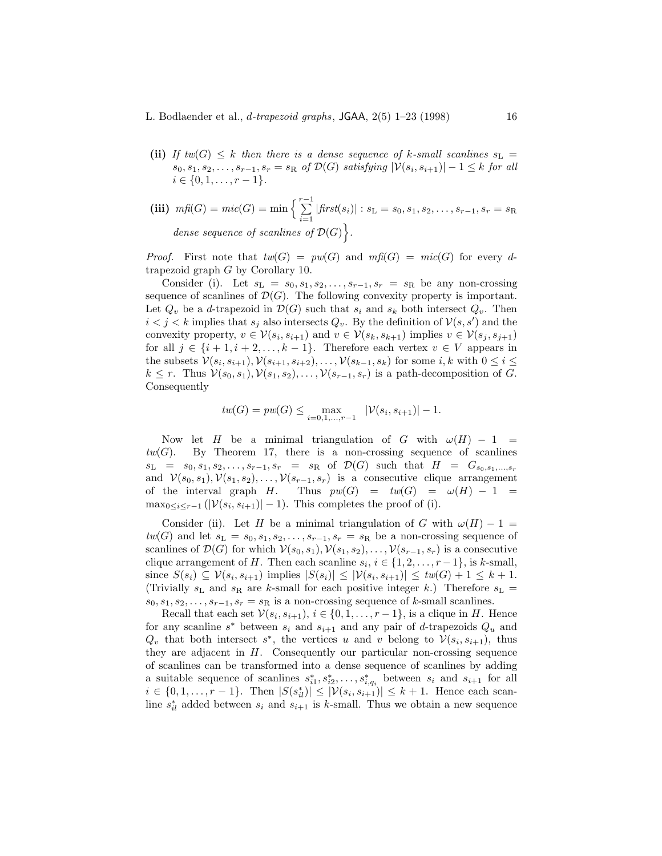**(ii)** If  $tw(G) \leq k$  then there is a dense sequence of k-small scanlines  $s_L$  $s_0, s_1, s_2, \ldots, s_{r-1}, s_r = s_R$  *of*  $\mathcal{D}(G)$  *satisfying*  $|\mathcal{V}(s_i, s_{i+1})| - 1 \leq k$  *for all*  $i \in \{0, 1, \ldots, r-1\}.$ 

(iii) 
$$
m\widehat{p}(G) = mic(G) = \min \left\{ \sum_{i=1}^{r-1} |first(s_i)| : s_L = s_0, s_1, s_2, \dots, s_{r-1}, s_r = s_R \right\}
$$
  
dense sequence of scalines of  $\mathcal{D}(G)$ .

*Proof.* First note that  $tw(G) = pw(G)$  and  $mf(G) = mic(G)$  for every dtrapezoid graph G by Corollary 10.

Consider (i). Let  $s_L = s_0, s_1, s_2, \ldots, s_{r-1}, s_r = s_R$  be any non-crossing sequence of scanlines of  $\mathcal{D}(G)$ . The following convexity property is important. Let  $Q_v$  be a d-trapezoid in  $\mathcal{D}(G)$  such that  $s_i$  and  $s_k$  both intersect  $Q_v$ . Then  $i < j < k$  implies that  $s_j$  also intersects  $Q_v$ . By the definition of  $\mathcal{V}(s, s')$  and the convexity property,  $v \in \mathcal{V}(s_i, s_{i+1})$  and  $v \in \mathcal{V}(s_k, s_{k+1})$  implies  $v \in \mathcal{V}(s_i, s_{i+1})$ for all  $j \in \{i+1, i+2, \ldots, k-1\}$ . Therefore each vertex  $v \in V$  appears in the subsets  $\mathcal{V}(s_i, s_{i+1}), \mathcal{V}(s_{i+1}, s_{i+2}), \ldots, \mathcal{V}(s_{k-1}, s_k)$  for some  $i, k$  with  $0 \leq i \leq$  $k \leq r$ . Thus  $\mathcal{V}(s_0, s_1), \mathcal{V}(s_1, s_2), \ldots, \mathcal{V}(s_{r-1}, s_r)$  is a path-decomposition of G. Consequently

$$
tw(G) = pw(G) \le \max_{i=0,1,...,r-1} \quad |\mathcal{V}(s_i, s_{i+1})| - 1.
$$

Now let H be a minimal triangulation of G with  $\omega(H) - 1$  $tw(G)$ . By Theorem 17, there is a non-crossing sequence of scanlines  $s_L = s_0, s_1, s_2, \ldots, s_{r-1}, s_r = s_R$  of  $\mathcal{D}(G)$  such that  $H = G_{s_0, s_1, \ldots, s_r}$ and  $V(s_0, s_1), V(s_1, s_2), \ldots, V(s_{r-1}, s_r)$  is a consecutive clique arrangement of the interval graph H. Thus  $pw(G) = tw(G) = \omega(H) - 1$  $\max_{0 \leq i \leq r-1} (|\mathcal{V}(s_i, s_{i+1})| - 1)$ . This completes the proof of (i).

Consider (ii). Let H be a minimal triangulation of G with  $\omega(H) - 1 =$  $tw(G)$  and let  $s_L = s_0, s_1, s_2, \ldots, s_{r-1}, s_r = s_R$  be a non-crossing sequence of scanlines of  $\mathcal{D}(G)$  for which  $\mathcal{V}(s_0, s_1), \mathcal{V}(s_1, s_2), \ldots, \mathcal{V}(s_{r-1}, s_r)$  is a consecutive clique arrangement of H. Then each scanline  $s_i$ ,  $i \in \{1, 2, ..., r-1\}$ , is k-small, since  $S(s_i) \subseteq V(s_i, s_{i+1})$  implies  $|S(s_i)| \leq |V(s_i, s_{i+1})| \leq tw(G)+1 \leq k+1$ . (Trivially  $s_L$  and  $s_R$  are k-small for each positive integer k.) Therefore  $s_L$  =  $s_0, s_1, s_2, \ldots, s_{r-1}, s_r = s_R$  is a non-crossing sequence of k-small scanlines.

Recall that each set  $V(s_i, s_{i+1}), i \in \{0, 1, \ldots, r-1\}$ , is a clique in H. Hence for any scanline s<sup>\*</sup> between  $s_i$  and  $s_{i+1}$  and any pair of d-trapezoids  $Q_u$  and  $Q_v$  that both intersect s<sup>\*</sup>, the vertices u and v belong to  $\mathcal{V}(s_i, s_{i+1})$ , thus they are adjacent in  $H$ . Consequently our particular non-crossing sequence of scanlines can be transformed into a dense sequence of scanlines by adding a suitable sequence of scanlines  $s_{i1}^*, s_{i2}^*, \ldots, s_{i,q_i}^*$  between  $s_i$  and  $s_{i+1}$  for all  $i \in \{0, 1, \ldots, r-1\}$ . Then  $|S(s_{il}^*)| \leq |V(s_i, s_{i+1})| \leq k+1$ . Hence each scanline  $s_{il}^*$  added between  $s_i$  and  $s_{i+1}$  is k-small. Thus we obtain a new sequence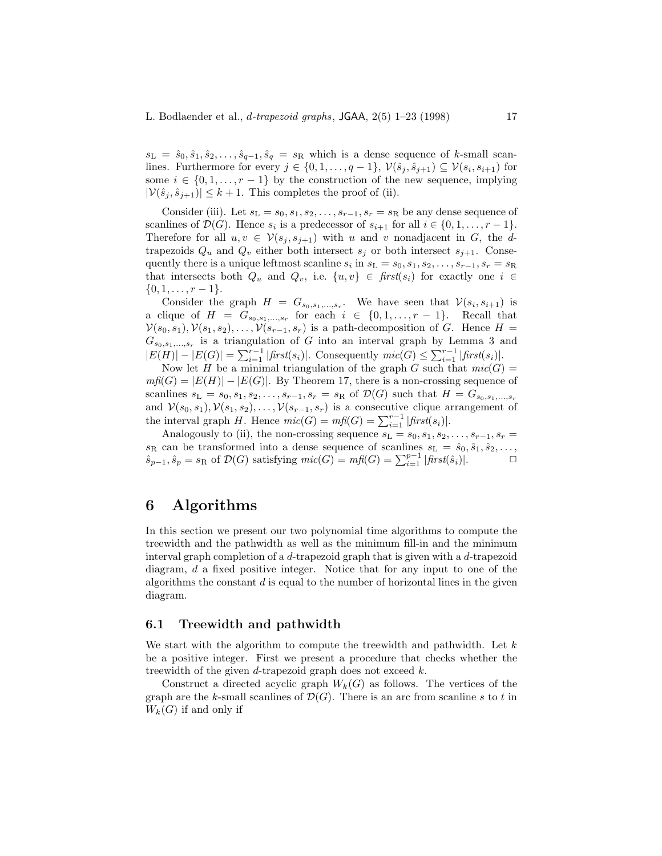$s_L = \hat{s}_0, \hat{s}_1, \hat{s}_2, \ldots, \hat{s}_{q-1}, \hat{s}_q = s_R$  which is a dense sequence of k-small scanlines. Furthermore for every  $j \in \{0, 1, \ldots, q-1\}$ ,  $\mathcal{V}(\hat{s}_i, \hat{s}_{i+1}) \subseteq \mathcal{V}(s_i, s_{i+1})$  for some  $i \in \{0, 1, \ldots, r-1\}$  by the construction of the new sequence, implying  $|\mathcal{V}(\hat{s}_i, \hat{s}_{i+1})| \leq k+1$ . This completes the proof of (ii).

Consider (iii). Let  $s_L = s_0, s_1, s_2, \ldots, s_{r-1}, s_r = s_R$  be any dense sequence of scanlines of  $\mathcal{D}(G)$ . Hence  $s_i$  is a predecessor of  $s_{i+1}$  for all  $i \in \{0, 1, \ldots, r-1\}$ . Therefore for all  $u, v \in V(s_i, s_{i+1})$  with u and v nonadjacent in G, the dtrapezoids  $Q_u$  and  $Q_v$  either both intersect  $s_i$  or both intersect  $s_{i+1}$ . Consequently there is a unique leftmost scanline  $s_i$  in  $s_L = s_0, s_1, s_2, \ldots, s_{r-1}, s_r = s_R$ that intersects both  $Q_u$  and  $Q_v$ , i.e.  $\{u, v\} \in \text{first}(s_i)$  for exactly one  $i \in$  $\{0, 1, \ldots, r-1\}.$ 

Consider the graph  $H = G_{s_0, s_1, ..., s_r}$ . We have seen that  $V(s_i, s_{i+1})$  is a clique of  $H = G_{s_0,s_1,\ldots,s_r}$  for each  $i \in \{0,1,\ldots,r-1\}$ . Recall that  $V(s_0, s_1), V(s_1, s_2), \ldots, V(s_{r-1}, s_r)$  is a path-decomposition of G. Hence  $H =$  $G_{s_0,s_1,...,s_r}$  is a triangulation of G into an interval graph by Lemma 3 and  $|E(H)| - |E(G)| = \sum_{i=1}^{r-1} |first(s_i)|$ . Consequently  $mic(G) \leq \sum_{i=1}^{r-1} |first(s_i)|$ .

Now let H be a minimal triangulation of the graph G such that  $mic(G)$  $m\textit{f}(\textit{G}) = |E(H)| - |E(G)|$ . By Theorem 17, there is a non-crossing sequence of scanlines  $s_L = s_0, s_1, s_2, \ldots, s_{r-1}, s_r = s_R$  of  $\mathcal{D}(G)$  such that  $H = G_{s_0, s_1, \ldots, s_r}$ and  $V(s_0, s_1), V(s_1, s_2), \ldots, V(s_{r-1}, s_r)$  is a consecutive clique arrangement of the interval graph H. Hence  $\text{mic}(G) = \text{mf}(G) = \sum_{i=1}^{r-1} | \text{first}(s_i)|.$ 

Analogously to (ii), the non-crossing sequence  $s_L = s_0, s_1, s_2, \ldots, s_{r-1}, s_r =$  $s_R$  can be transformed into a dense sequence of scanlines  $s_L = \hat{s}_0, \hat{s}_1, \hat{s}_2, \ldots$ ,  $\hat{s}_{p-1}, \hat{s}_p = s_R$  of  $\mathcal{D}(G)$  satisfying  $mic(G) = mfl(G) = \sum_{i=1}^{p-1} |first(\hat{s}_i)|$ .

### **6 Algorithms**

In this section we present our two polynomial time algorithms to compute the treewidth and the pathwidth as well as the minimum fill-in and the minimum interval graph completion of a d-trapezoid graph that is given with a d-trapezoid diagram, d a fixed positive integer. Notice that for any input to one of the algorithms the constant  $d$  is equal to the number of horizontal lines in the given diagram.

#### **6.1 Treewidth and pathwidth**

We start with the algorithm to compute the treewidth and pathwidth. Let  $k$ be a positive integer. First we present a procedure that checks whether the treewidth of the given  $d$ -trapezoid graph does not exceed  $k$ .

Construct a directed acyclic graph  $W_k(G)$  as follows. The vertices of the graph are the k-small scanlines of  $\mathcal{D}(G)$ . There is an arc from scanline s to t in  $W_k(G)$  if and only if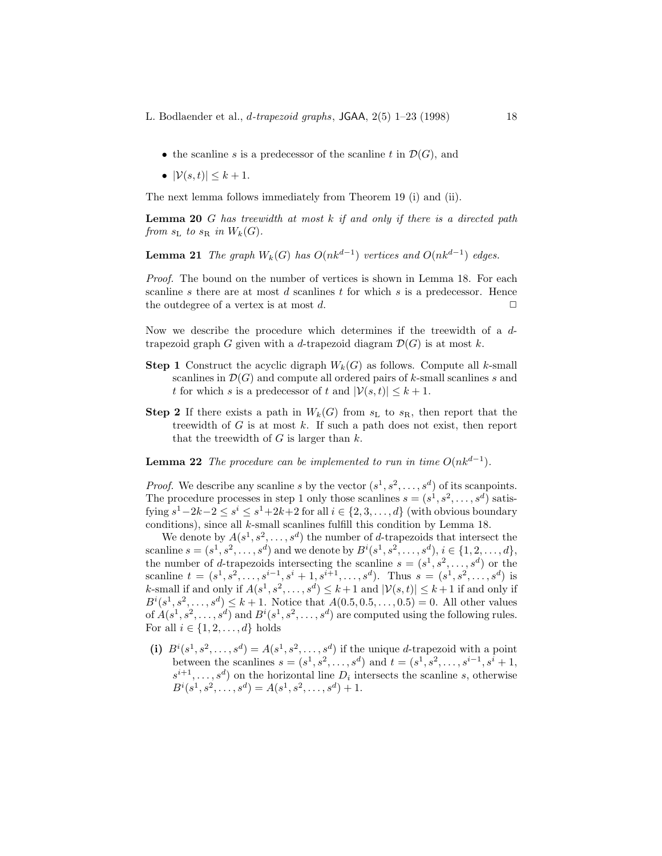- the scanline s is a predecessor of the scanline t in  $\mathcal{D}(G)$ , and
- $|\mathcal{V}(s,t)| \leq k+1$ .

The next lemma follows immediately from Theorem 19 (i) and (ii).

**Lemma 20** G *has treewidth at most* k *if and only if there is a directed path from*  $s<sub>L</sub>$  *to*  $s<sub>R</sub>$  *in*  $W_k(G)$ *.* 

**Lemma 21** *The graph*  $W_k(G)$  *has*  $O(nk^{d-1})$  *vertices and*  $O(nk^{d-1})$  *edges.* 

*Proof.* The bound on the number of vertices is shown in Lemma 18. For each scanline s there are at most  $d$  scanlines  $t$  for which  $s$  is a predecessor. Hence the outdegree of a vertex is at most d.  $\Box$ 

Now we describe the procedure which determines if the treewidth of a dtrapezoid graph G given with a d-trapezoid diagram  $\mathcal{D}(G)$  is at most k.

- **Step 1** Construct the acyclic digraph  $W_k(G)$  as follows. Compute all k-small scanlines in  $\mathcal{D}(G)$  and compute all ordered pairs of k-small scanlines s and t for which s is a predecessor of t and  $|\mathcal{V}(s,t)| \leq k+1$ .
- **Step 2** If there exists a path in  $W_k(G)$  from  $s<sub>L</sub>$  to  $s<sub>R</sub>$ , then report that the treewidth of  $G$  is at most  $k$ . If such a path does not exist, then report that the treewidth of  $G$  is larger than  $k$ .

**Lemma 22** *The procedure can be implemented to run in time*  $O(nk^{d-1})$ *.* 

*Proof.* We describe any scanline s by the vector  $(s^1, s^2, \ldots, s^d)$  of its scanpoints. The procedure processes in step 1 only those scanlines  $s = (s^1, s^2, \ldots, s^d)$  satisfying  $s^1-2k-2 \leq s^i \leq s^1+2k+2$  for all  $i \in \{2,3,\ldots,d\}$  (with obvious boundary conditions), since all k-small scanlines fulfill this condition by Lemma 18.

We denote by  $A(s^1, s^2, \ldots, s^d)$  the number of d-trapezoids that intersect the scanline  $s = (s^1, s^2, \ldots, s^d)$  and we denote by  $B^i(s^1, s^2, \ldots, s^d), i \in \{1, 2, \ldots, d\},$ the number of d-trapezoids intersecting the scanline  $s = (s^1, s^2, \ldots, s^d)$  or the scanline  $t = (s^1, s^2, \ldots, s^{i-1}, s^i + 1, s^{i+1}, \ldots, s^d)$ . Thus  $s = (s^1, s^2, \ldots, s^d)$  is k-small if and only if  $A(s^1, s^2, \ldots, s^d) \leq k+1$  and  $|\mathcal{V}(s, t)| \leq k+1$  if and only if  $B^{i}(s^{1}, s^{2}, \ldots, s^{d}) \leq k + 1$ . Notice that  $A(0.5, 0.5, \ldots, 0.5) = 0$ . All other values of  $A(s^1, s^2, \ldots, s^d)$  and  $B^i(s^1, s^2, \ldots, s^d)$  are computed using the following rules. For all  $i \in \{1, 2, \ldots, d\}$  holds

(i)  $B^i(s^1, s^2, \ldots, s^d) = A(s^1, s^2, \ldots, s^d)$  if the unique d-trapezoid with a point between the scanlines  $s = (s^1, s^2, \ldots, s^d)$  and  $t = (s^1, s^2, \ldots, s^{i-1}, s^i + 1,$  $s^{i+1},\ldots,s^d$  on the horizontal line  $D_i$  intersects the scanline s, otherwise  $B^i(s^1, s^2, \ldots, s^d) = A(s^1, s^2, \ldots, s^d) + 1.$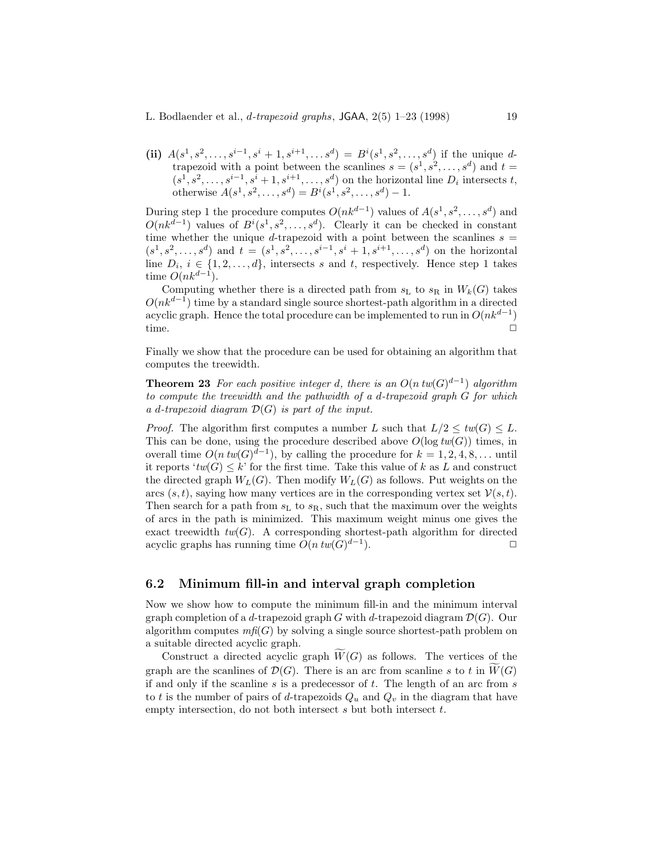#### L. Bodlaender et al., d*-trapezoid graphs*, JGAA, 2(5) 1–23 (1998) 19

(ii)  $A(s^1, s^2, \ldots, s^{i-1}, s^i + 1, s^{i+1}, \ldots, s^d) = B^i(s^1, s^2, \ldots, s^d)$  if the unique dtrapezoid with a point between the scanlines  $s = (s^1, s^2, \ldots, s^d)$  and  $t =$  $(s^1, s^2, \ldots, s^{i-1}, s^{\overline{i}} + 1, s^{i+1}, \ldots, s^d)$  on the horizontal line  $D_i$  intersects t, otherwise  $A(s^1, s^2, \ldots, s^d) = B^i(s^1, s^2, \ldots, s^d) - 1.$ 

During step 1 the procedure computes  $O(nk^{d-1})$  values of  $A(s^1, s^2, \ldots, s^d)$  and  $O(nk^{d-1})$  values of  $B^{i}(s^{1}, s^{2}, \ldots, s^{d})$ . Clearly it can be checked in constant time whether the unique d-trapezoid with a point between the scanlines  $s =$  $(s^1, s^2, \ldots, s^d)$  and  $t = (s^1, s^2, \ldots, s^{i-1}, s^i + 1, s^{i+1}, \ldots, s^d)$  on the horizontal line  $D_i, i \in \{1, 2, ..., d\}$ , intersects s and t, respectively. Hence step 1 takes time  $O(nk^{d-1})$ .

Computing whether there is a directed path from  $s_L$  to  $s_R$  in  $W_k(G)$  takes  $O(nk^{d-1})$  time by a standard single source shortest-path algorithm in a directed acyclic graph. Hence the total procedure can be implemented to run in  $O(nk^{d-1})$ time.  $\Box$ 

Finally we show that the procedure can be used for obtaining an algorithm that computes the treewidth.

**Theorem 23** For each positive integer d, there is an  $O(n \cdot tw(G)^{d-1})$  algorithm *to compute the treewidth and the pathwidth of a* d*-trapezoid graph* G *for which a* d*-trapezoid diagram* D(G) *is part of the input.*

*Proof.* The algorithm first computes a number L such that  $L/2 \leq tw(G) \leq L$ . This can be done, using the procedure described above  $O(\log tw(G))$  times, in overall time  $O(n \, tw(G)^{d-1})$ , by calling the procedure for  $k = 1, 2, 4, 8, \ldots$  until it reports  $'tw(G) \leq k'$  for the first time. Take this value of k as L and construct the directed graph  $W_L(G)$ . Then modify  $W_L(G)$  as follows. Put weights on the arcs  $(s, t)$ , saying how many vertices are in the corresponding vertex set  $\mathcal{V}(s, t)$ . Then search for a path from  $s<sub>L</sub>$  to  $s<sub>R</sub>$ , such that the maximum over the weights of arcs in the path is minimized. This maximum weight minus one gives the exact treewidth  $tw(G)$ . A corresponding shortest-path algorithm for directed acyclic graphs has running time  $O(n \, tw(G)^{d-1})$ .  $\Box$ 

#### **6.2 Minimum fill-in and interval graph completion**

Now we show how to compute the minimum fill-in and the minimum interval graph completion of a d-trapezoid graph G with d-trapezoid diagram  $\mathcal{D}(G)$ . Our algorithm computes  $m\mathfrak{f}(G)$  by solving a single source shortest-path problem on a suitable directed acyclic graph.

Construct a directed acyclic graph  $\widetilde{W}(G)$  as follows. The vertices of the graph are the scanlines of  $\mathcal{D}(G)$ . There is an arc from scanline s to t in  $\widetilde{W}(G)$ if and only if the scanline  $s$  is a predecessor of  $t$ . The length of an arc from  $s$ to t is the number of pairs of d-trapezoids  $Q_u$  and  $Q_v$  in the diagram that have empty intersection, do not both intersect  $s$  but both intersect  $t$ .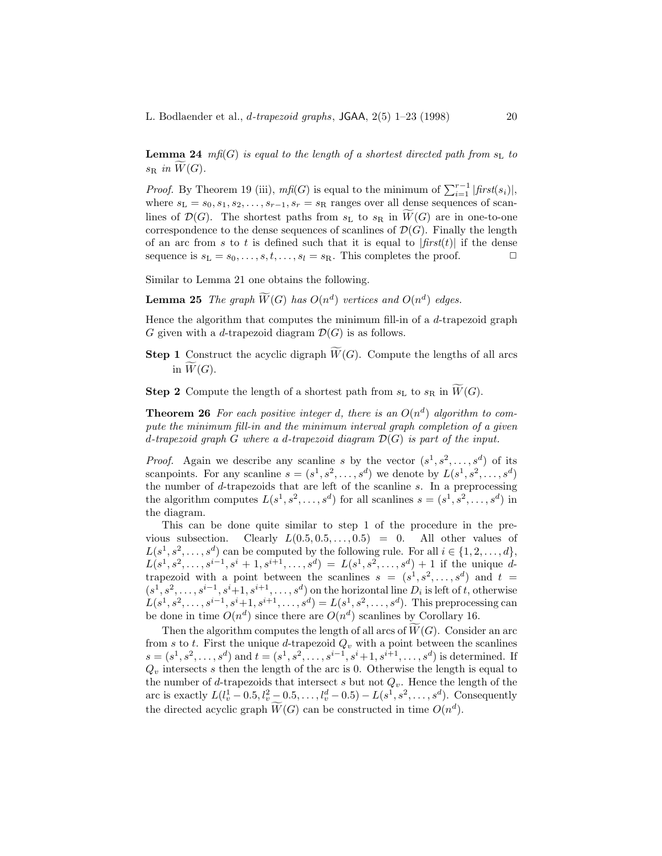**Lemma 24**  $mf(G)$  *is equal to the length of a shortest directed path from*  $s<sub>L</sub>$  *to*  $s_{\rm R}$  in  $\widetilde{W}(G)$ .

*Proof.* By Theorem 19 (iii),  $m\text{ff}(G)$  is equal to the minimum of  $\sum_{i=1}^{r-1} |first(s_i)|$ , where  $s_L = s_0, s_1, s_2, \ldots, s_{r-1}, s_r = s_R$  ranges over all dense sequences of scanlines of  $\mathcal{D}(G)$ . The shortest paths from  $s_L$  to  $s_R$  in  $\widetilde{W}(G)$  are in one-to-one correspondence to the dense sequences of scanlines of  $\mathcal{D}(G)$ . Finally the length of an arc from s to t is defined such that it is equal to  $|first(t)|$  if the dense sequence is  $s_L = s_0, \ldots, s, t, \ldots, s_l = s_R$ . This completes the proof.  $\Box$ 

Similar to Lemma 21 one obtains the following.

**Lemma 25** *The graph*  $\widetilde{W}(G)$  *has*  $O(n^d)$  *vertices and*  $O(n^d)$  *edges.* 

Hence the algorithm that computes the minimum fill-in of a  $d$ -trapezoid graph G given with a d-trapezoid diagram  $\mathcal{D}(G)$  is as follows.

**Step 1** Construct the acyclic digraph  $\widetilde{W}(G)$ . Compute the lengths of all arcs in  $\widetilde{W}(G)$ .

**Step 2** Compute the length of a shortest path from  $s_L$  to  $s_R$  in  $\widetilde{W}(G)$ .

**Theorem 26** For each positive integer d, there is an  $O(n^d)$  algorithm to com*pute the minimum fill-in and the minimum interval graph completion of a given* d*-trapezoid graph* G *where a* d*-trapezoid diagram* D(G) *is part of the input.*

*Proof.* Again we describe any scanline s by the vector  $(s^1, s^2, \ldots, s^d)$  of its scanpoints. For any scanline  $s = (s^1, s^2, \ldots, s^d)$  we denote by  $L(s^1, s^2, \ldots, s^d)$ the number of  $d$ -trapezoids that are left of the scanline  $s$ . In a preprocessing the algorithm computes  $L(s^1, s^2, \ldots, s^d)$  for all scanlines  $s = (s^1, s^2, \ldots, s^d)$  in the diagram.

This can be done quite similar to step 1 of the procedure in the previous subsection. Clearly  $L(0.5, 0.5, \ldots, 0.5) = 0$ . All other values of  $L(s^1, s^2, \ldots, s^d)$  can be computed by the following rule. For all  $i \in \{1, 2, \ldots, d\}$ ,  $L(s^1, s^2, \ldots, s^{i-1}, s^i + 1, s^{i+1}, \ldots, s^d) = L(s^1, s^2, \ldots, s^d) + 1$  if the unique dtrapezoid with a point between the scanlines  $s = (s^1, s^2, \ldots, s^d)$  and  $t =$  $(s^1, s^2, \ldots, s^{i-1}, s^i+1, s^{i+1}, \ldots, s^d)$  on the horizontal line  $D_i$  is left of t, otherwise  $L(s^1, s^2, \ldots, s^{i-1}, s^i+1, s^{i+1}, \ldots, s^d) = L(s^1, s^2, \ldots, s^d)$ . This preprocessing can be done in time  $O(n^d)$  since there are  $O(n^d)$  scanlines by Corollary 16.

Then the algorithm computes the length of all arcs of  $\widetilde{W}(G)$ . Consider an arc from s to t. First the unique d-trapezoid  $Q_v$  with a point between the scanlines s =  $(s^1, s^2, \ldots, s^d)$  and  $t = (s^1, s^2, \ldots, s^{i-1}, s^{i+1}, s^{i+1}, \ldots, s^d)$  is determined. If  $Q<sub>v</sub>$  intersects s then the length of the arc is 0. Otherwise the length is equal to the number of d-trapezoids that intersect s but not  $Q_v$ . Hence the length of the arc is exactly  $L(l_v^1 - 0.5, l_v^2 - 0.5, \ldots, l_v^d - 0.5) - L(s^1, s^2, \ldots, s^d)$ . Consequently the directed acyclic graph  $\widetilde{W}(G)$  can be constructed in time  $O(n^d)$ .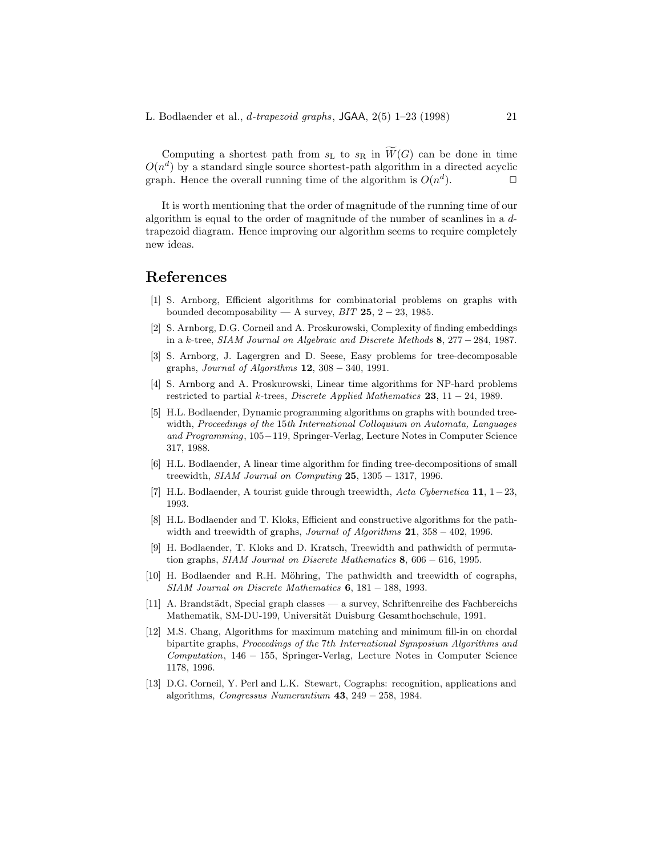Computing a shortest path from  $s_L$  to  $s_R$  in  $\widetilde{W}(G)$  can be done in time  $O(n^d)$  by a standard single source shortest-path algorithm in a directed acyclic graph. Hence the overall running time of the algorithm is  $O(n^d)$ .

It is worth mentioning that the order of magnitude of the running time of our algorithm is equal to the order of magnitude of the number of scanlines in a  $d$ trapezoid diagram. Hence improving our algorithm seems to require completely new ideas.

# **References**

- [1] S. Arnborg, Efficient algorithms for combinatorial problems on graphs with bounded decomposability — A survey,  $BIT$  **25**,  $2 - 23$ , 1985.
- [2] S. Arnborg, D.G. Corneil and A. Proskurowski, Complexity of finding embeddings in a <sup>k</sup>-tree, SIAM Journal on Algebraic and Discrete Methods **<sup>8</sup>**, 277<sup>−</sup> 284, 1987.
- [3] S. Arnborg, J. Lagergren and D. Seese, Easy problems for tree-decomposable graphs, Journal of Algorithms **12**, 308 − 340, 1991.
- [4] S. Arnborg and A. Proskurowski, Linear time algorithms for NP-hard problems restricted to partial <sup>k</sup>-trees, Discrete Applied Mathematics **<sup>23</sup>**, 11 <sup>−</sup> 24, 1989.
- [5] H.L. Bodlaender, Dynamic programming algorithms on graphs with bounded treewidth, Proceedings of the 15th International Colloquium on Automata, Languages and Programming, 105−119, Springer-Verlag, Lecture Notes in Computer Science 317, 1988.
- [6] H.L. Bodlaender, A linear time algorithm for finding tree-decompositions of small treewidth, SIAM Journal on Computing **25**, 1305 − 1317, 1996.
- [7] H.L. Bodlaender, A tourist guide through treewidth, Acta Cybernetica **11**, 1−23, 1993.
- [8] H.L. Bodlaender and T. Kloks, Efficient and constructive algorithms for the pathwidth and treewidth of graphs, Journal of Algorithms **21**, 358 − 402, 1996.
- [9] H. Bodlaender, T. Kloks and D. Kratsch, Treewidth and pathwidth of permutation graphs, SIAM Journal on Discrete Mathematics **8**, 606 − 616, 1995.
- [10] H. Bodlaender and R.H. Möhring, The pathwidth and treewidth of cographs, SIAM Journal on Discrete Mathematics **6**, 181 − 188, 1993.
- [11] A. Brandstädt, Special graph classes a survey, Schriftenreihe des Fachbereichs Mathematik, SM-DU-199, Universität Duisburg Gesamthochschule, 1991.
- [12] M.S. Chang, Algorithms for maximum matching and minimum fill-in on chordal bipartite graphs, Proceedings of the 7th International Symposium Algorithms and  $Computation$ , 146 − 155, Springer-Verlag, Lecture Notes in Computer Science 1178, 1996.
- [13] D.G. Corneil, Y. Perl and L.K. Stewart, Cographs: recognition, applications and algorithms, Congressus Numerantium **43**, 249 − 258, 1984.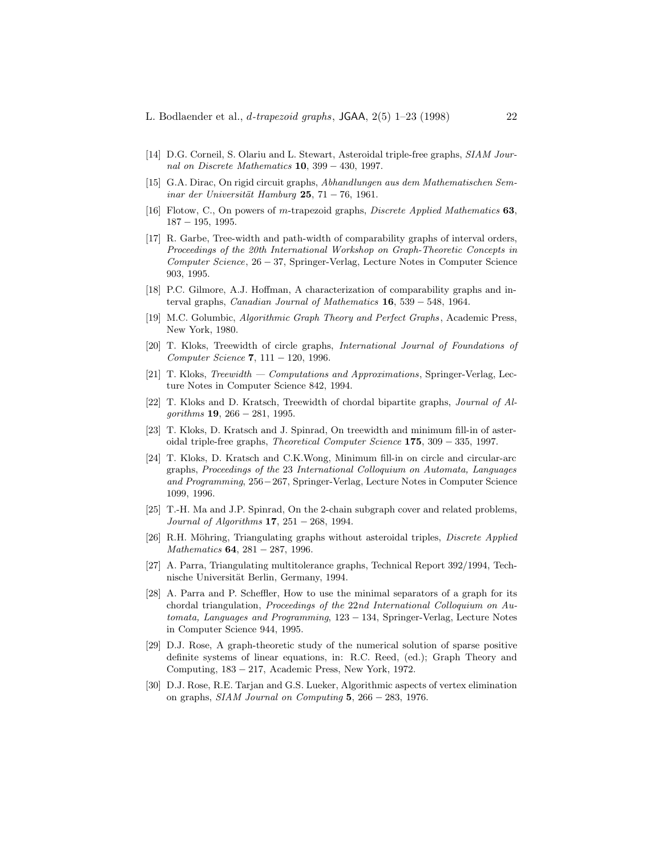- [14] D.G. Corneil, S. Olariu and L. Stewart, Asteroidal triple-free graphs, SIAM Journal on Discrete Mathematics **10**, 399 − 430, 1997.
- [15] G.A. Dirac, On rigid circuit graphs, Abhandlungen aus dem Mathematischen Sem $in a**r** *Universität Hamburg* 25, 71 – 76, 1961.$
- [16] Flotow, C., On powers of m-trapezoid graphs, Discrete Applied Mathematics **63**, 187 − 195, 1995.
- [17] R. Garbe, Tree-width and path-width of comparability graphs of interval orders, Proceedings of the 20th International Workshop on Graph-Theoretic Concepts in Computer Science, 26 − 37, Springer-Verlag, Lecture Notes in Computer Science 903, 1995.
- [18] P.C. Gilmore, A.J. Hoffman, A characterization of comparability graphs and interval graphs, Canadian Journal of Mathematics **16**, 539 − 548, 1964.
- [19] M.C. Golumbic, Algorithmic Graph Theory and Perfect Graphs , Academic Press, New York, 1980.
- [20] T. Kloks, Treewidth of circle graphs, International Journal of Foundations of Computer Science **7**, 111 − 120, 1996.
- [21] T. Kloks, Treewidth Computations and Approximations, Springer-Verlag, Lecture Notes in Computer Science 842, 1994.
- [22] T. Kloks and D. Kratsch, Treewidth of chordal bipartite graphs, Journal of Algorithms **19**, 266 − 281, 1995.
- [23] T. Kloks, D. Kratsch and J. Spinrad, On treewidth and minimum fill-in of asteroidal triple-free graphs, Theoretical Computer Science **175**, 309 − 335, 1997.
- [24] T. Kloks, D. Kratsch and C.K.Wong, Minimum fill-in on circle and circular-arc graphs, Proceedings of the 23 International Colloquium on Automata, Languages and Programming, 256−267, Springer-Verlag, Lecture Notes in Computer Science 1099, 1996.
- [25] T.-H. Ma and J.P. Spinrad, On the 2-chain subgraph cover and related problems, Journal of Algorithms **17**, 251 − 268, 1994.
- [26] R.H. Möhring, Triangulating graphs without asteroidal triples, *Discrete Applied* Mathematics **64**, 281 − 287, 1996.
- [27] A. Parra, Triangulating multitolerance graphs, Technical Report 392/1994, Technische Universität Berlin, Germany, 1994.
- [28] A. Parra and P. Scheffler, How to use the minimal separators of a graph for its chordal triangulation, *Proceedings of the 22nd International Colloquium on Au*tomata, Languages and Programming, 123 − 134, Springer-Verlag, Lecture Notes in Computer Science 944, 1995.
- [29] D.J. Rose, A graph-theoretic study of the numerical solution of sparse positive definite systems of linear equations, in: R.C. Reed, (ed.); Graph Theory and Computing, 183 − 217, Academic Press, New York, 1972.
- [30] D.J. Rose, R.E. Tarjan and G.S. Lueker, Algorithmic aspects of vertex elimination on graphs, SIAM Journal on Computing **5**, 266 − 283, 1976.